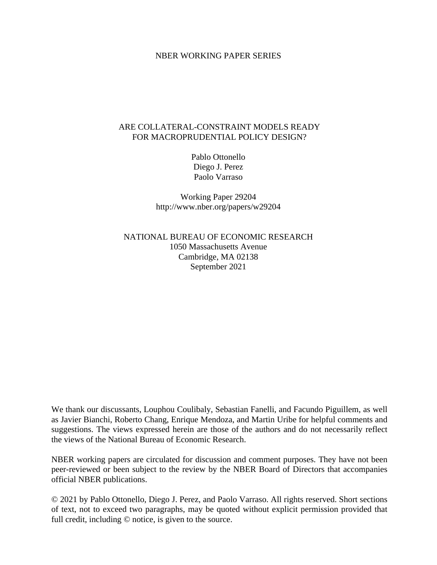### NBER WORKING PAPER SERIES

### ARE COLLATERAL-CONSTRAINT MODELS READY FOR MACROPRUDENTIAL POLICY DESIGN?

Pablo Ottonello Diego J. Perez Paolo Varraso

Working Paper 29204 http://www.nber.org/papers/w29204

NATIONAL BUREAU OF ECONOMIC RESEARCH 1050 Massachusetts Avenue Cambridge, MA 02138 September 2021

We thank our discussants, Louphou Coulibaly, Sebastian Fanelli, and Facundo Piguillem, as well as Javier Bianchi, Roberto Chang, Enrique Mendoza, and Martin Uribe for helpful comments and suggestions. The views expressed herein are those of the authors and do not necessarily reflect the views of the National Bureau of Economic Research.

NBER working papers are circulated for discussion and comment purposes. They have not been peer-reviewed or been subject to the review by the NBER Board of Directors that accompanies official NBER publications.

© 2021 by Pablo Ottonello, Diego J. Perez, and Paolo Varraso. All rights reserved. Short sections of text, not to exceed two paragraphs, may be quoted without explicit permission provided that full credit, including © notice, is given to the source.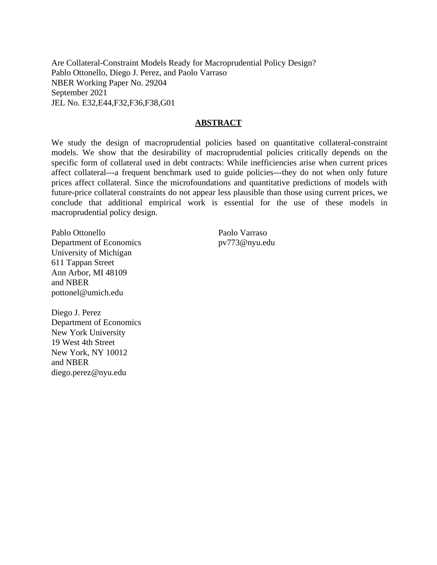Are Collateral-Constraint Models Ready for Macroprudential Policy Design? Pablo Ottonello, Diego J. Perez, and Paolo Varraso NBER Working Paper No. 29204 September 2021 JEL No. E32,E44,F32,F36,F38,G01

### **ABSTRACT**

We study the design of macroprudential policies based on quantitative collateral-constraint models. We show that the desirability of macroprudential policies critically depends on the specific form of collateral used in debt contracts: While inefficiencies arise when current prices affect collateral---a frequent benchmark used to guide policies---they do not when only future prices affect collateral. Since the microfoundations and quantitative predictions of models with future-price collateral constraints do not appear less plausible than those using current prices, we conclude that additional empirical work is essential for the use of these models in macroprudential policy design.

Pablo Ottonello Department of Economics University of Michigan 611 Tappan Street Ann Arbor, MI 48109 and NBER pottonel@umich.edu

Paolo Varraso pv773@nyu.edu

Diego J. Perez Department of Economics New York University 19 West 4th Street New York, NY 10012 and NBER diego.perez@nyu.edu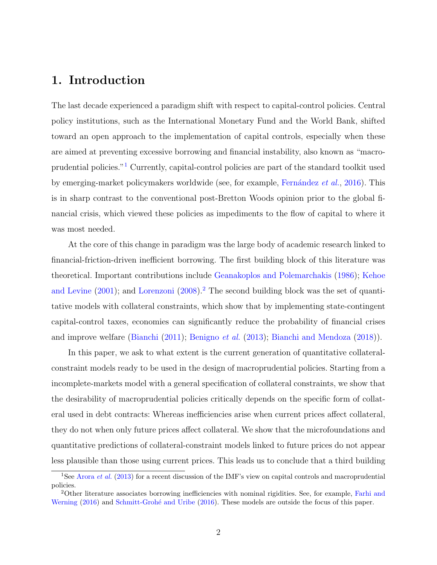## <span id="page-2-0"></span>1. Introduction

The last decade experienced a paradigm shift with respect to capital-control policies. Central policy institutions, such as the International Monetary Fund and the World Bank, shifted toward an open approach to the implementation of capital controls, especially when these are aimed at preventing excessive borrowing and financial instability, also known as "macroprudential policies."[1](#page--1-0) Currently, capital-control policies are part of the standard toolkit used by emerging-market policymakers worldwide (see, for example, Fernández et  $al.$ , [2016\)](#page-27-0). This is in sharp contrast to the conventional post-Bretton Woods opinion prior to the global financial crisis, which viewed these policies as impediments to the flow of capital to where it was most needed.

At the core of this change in paradigm was the large body of academic research linked to financial-friction-driven inefficient borrowing. The first building block of this literature was theoretical. Important contributions include [Geanakoplos and Polemarchakis](#page-27-1) [\(1986\)](#page-27-1); [Kehoe](#page-28-0) [and Levine](#page-28-0)  $(2001)$ ; and [Lorenzoni](#page-28-1)  $(2008)<sup>2</sup>$  $(2008)<sup>2</sup>$  $(2008)<sup>2</sup>$  $(2008)<sup>2</sup>$  The second building block was the set of quantitative models with collateral constraints, which show that by implementing state-contingent capital-control taxes, economies can significantly reduce the probability of financial crises and improve welfare [\(Bianchi](#page-27-2) [\(2011\)](#page-27-2); [Benigno](#page-27-3) et al. [\(2013\)](#page-27-3); [Bianchi and Mendoza](#page-27-4) [\(2018\)](#page-27-4)).

In this paper, we ask to what extent is the current generation of quantitative collateralconstraint models ready to be used in the design of macroprudential policies. Starting from a incomplete-markets model with a general specification of collateral constraints, we show that the desirability of macroprudential policies critically depends on the specific form of collateral used in debt contracts: Whereas inefficiencies arise when current prices affect collateral, they do not when only future prices affect collateral. We show that the microfoundations and quantitative predictions of collateral-constraint models linked to future prices do not appear less plausible than those using current prices. This leads us to conclude that a third building

<sup>&</sup>lt;sup>1</sup>See [Arora](#page-27-5) *et al.* [\(2013\)](#page-27-5) for a recent discussion of the IMF's view on capital controls and macroprudential policies.

<sup>2</sup>Other literature associates borrowing inefficiencies with nominal rigidities. See, for example, [Farhi and](#page-27-6) [Werning](#page-27-6) [\(2016\)](#page-28-2) and Schmitt-Grohé and Uribe (2016). These models are outside the focus of this paper.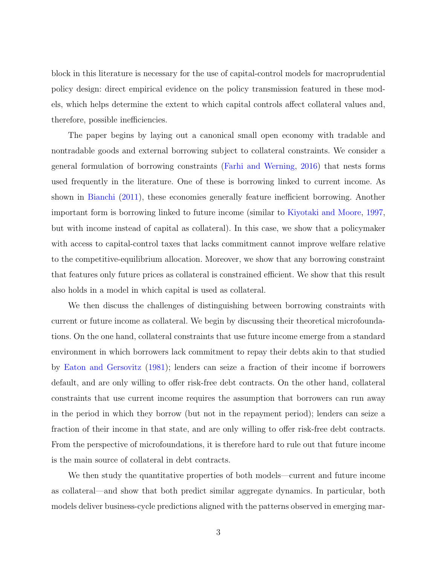block in this literature is necessary for the use of capital-control models for macroprudential policy design: direct empirical evidence on the policy transmission featured in these models, which helps determine the extent to which capital controls affect collateral values and, therefore, possible inefficiencies.

The paper begins by laying out a canonical small open economy with tradable and nontradable goods and external borrowing subject to collateral constraints. We consider a general formulation of borrowing constraints [\(Farhi and Werning,](#page-27-6) [2016\)](#page-27-6) that nests forms used frequently in the literature. One of these is borrowing linked to current income. As shown in [Bianchi](#page-27-2) [\(2011\)](#page-27-2), these economies generally feature inefficient borrowing. Another important form is borrowing linked to future income (similar to [Kiyotaki and Moore,](#page-28-3) [1997,](#page-28-3) but with income instead of capital as collateral). In this case, we show that a policymaker with access to capital-control taxes that lacks commitment cannot improve welfare relative to the competitive-equilibrium allocation. Moreover, we show that any borrowing constraint that features only future prices as collateral is constrained efficient. We show that this result also holds in a model in which capital is used as collateral.

We then discuss the challenges of distinguishing between borrowing constraints with current or future income as collateral. We begin by discussing their theoretical microfoundations. On the one hand, collateral constraints that use future income emerge from a standard environment in which borrowers lack commitment to repay their debts akin to that studied by [Eaton and Gersovitz](#page-27-7) [\(1981\)](#page-27-7); lenders can seize a fraction of their income if borrowers default, and are only willing to offer risk-free debt contracts. On the other hand, collateral constraints that use current income requires the assumption that borrowers can run away in the period in which they borrow (but not in the repayment period); lenders can seize a fraction of their income in that state, and are only willing to offer risk-free debt contracts. From the perspective of microfoundations, it is therefore hard to rule out that future income is the main source of collateral in debt contracts.

We then study the quantitative properties of both models—current and future income as collateral—and show that both predict similar aggregate dynamics. In particular, both models deliver business-cycle predictions aligned with the patterns observed in emerging mar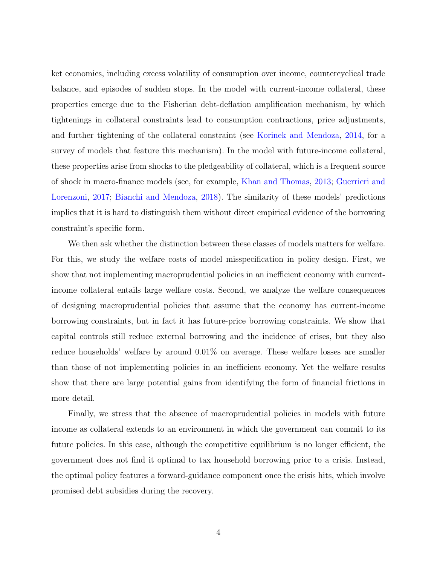ket economies, including excess volatility of consumption over income, countercyclical trade balance, and episodes of sudden stops. In the model with current-income collateral, these properties emerge due to the Fisherian debt-deflation amplification mechanism, by which tightenings in collateral constraints lead to consumption contractions, price adjustments, and further tightening of the collateral constraint (see [Korinek and Mendoza,](#page-28-4) [2014,](#page-28-4) for a survey of models that feature this mechanism). In the model with future-income collateral, these properties arise from shocks to the pledgeability of collateral, which is a frequent source of shock in macro-finance models (see, for example, [Khan and Thomas,](#page-28-5) [2013;](#page-28-5) [Guerrieri and](#page-27-8) [Lorenzoni,](#page-27-8) [2017;](#page-27-8) [Bianchi and Mendoza,](#page-27-4) [2018\)](#page-27-4). The similarity of these models' predictions implies that it is hard to distinguish them without direct empirical evidence of the borrowing constraint's specific form.

We then ask whether the distinction between these classes of models matters for welfare. For this, we study the welfare costs of model misspecification in policy design. First, we show that not implementing macroprudential policies in an inefficient economy with currentincome collateral entails large welfare costs. Second, we analyze the welfare consequences of designing macroprudential policies that assume that the economy has current-income borrowing constraints, but in fact it has future-price borrowing constraints. We show that capital controls still reduce external borrowing and the incidence of crises, but they also reduce households' welfare by around 0.01% on average. These welfare losses are smaller than those of not implementing policies in an inefficient economy. Yet the welfare results show that there are large potential gains from identifying the form of financial frictions in more detail.

Finally, we stress that the absence of macroprudential policies in models with future income as collateral extends to an environment in which the government can commit to its future policies. In this case, although the competitive equilibrium is no longer efficient, the government does not find it optimal to tax household borrowing prior to a crisis. Instead, the optimal policy features a forward-guidance component once the crisis hits, which involve promised debt subsidies during the recovery.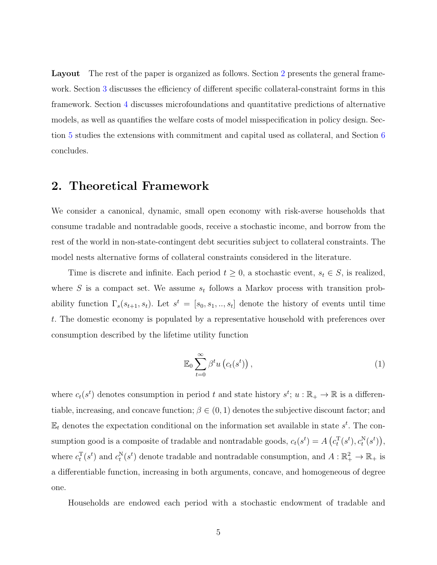Layout The rest of the paper is organized as follows. Section [2](#page-5-0) presents the general framework. Section [3](#page-8-0) discusses the efficiency of different specific collateral-constraint forms in this framework. Section [4](#page-11-0) discusses microfoundations and quantitative predictions of alternative models, as well as quantifies the welfare costs of model misspecification in policy design. Section [5](#page-20-0) studies the extensions with commitment and capital used as collateral, and Section [6](#page-26-0) concludes.

## <span id="page-5-0"></span>2. Theoretical Framework

We consider a canonical, dynamic, small open economy with risk-averse households that consume tradable and nontradable goods, receive a stochastic income, and borrow from the rest of the world in non-state-contingent debt securities subject to collateral constraints. The model nests alternative forms of collateral constraints considered in the literature.

Time is discrete and infinite. Each period  $t \geq 0$ , a stochastic event,  $s_t \in S$ , is realized, where S is a compact set. We assume  $s_t$  follows a Markov process with transition probability function  $\Gamma_s(s_{t+1}, s_t)$ . Let  $s^t = [s_0, s_1, \ldots, s_t]$  denote the history of events until time t. The domestic economy is populated by a representative household with preferences over consumption described by the lifetime utility function

<span id="page-5-1"></span>
$$
\mathbb{E}_0 \sum_{t=0}^{\infty} \beta^t u\left(c_t(s^t)\right),\tag{1}
$$

where  $c_t(s^t)$  denotes consumption in period t and state history  $s^t$ ;  $u : \mathbb{R}_+ \to \mathbb{R}$  is a differentiable, increasing, and concave function;  $\beta \in (0,1)$  denotes the subjective discount factor; and  $\mathbb{E}_t$  denotes the expectation conditional on the information set available in state  $s^t$ . The consumption good is a composite of tradable and nontradable goods,  $c_t(s^t) = A\left(c_t^{\mathrm{T}}(s^t), c_t^{\mathrm{N}}(s^t)\right)$ , where  $c_t^{\text{T}}(s^t)$  and  $c_t^{\text{N}}(s^t)$  denote tradable and nontradable consumption, and  $A: \mathbb{R}_+^2 \to \mathbb{R}_+$  is a differentiable function, increasing in both arguments, concave, and homogeneous of degree one.

Households are endowed each period with a stochastic endowment of tradable and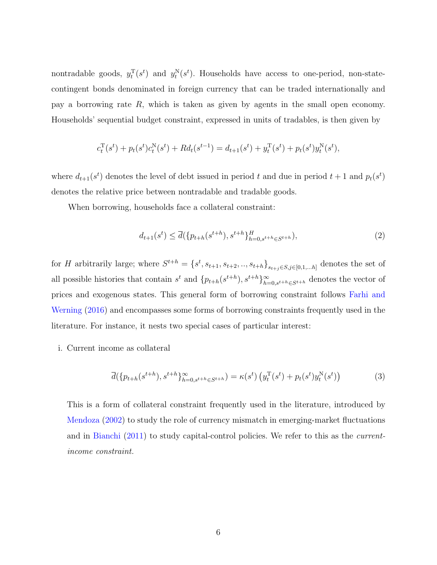nontradable goods,  $y_t^{\mathrm{T}}(s^t)$  and  $y_t^{\mathrm{N}}(s^t)$ . Households have access to one-period, non-statecontingent bonds denominated in foreign currency that can be traded internationally and pay a borrowing rate R, which is taken as given by agents in the small open economy. Households' sequential budget constraint, expressed in units of tradables, is then given by

$$
c_t^{\mathrm{T}}(s^t) + p_t(s^t)c_t^{\mathrm{N}}(s^t) + Rd_t(s^{t-1}) = d_{t+1}(s^t) + y_t^{\mathrm{T}}(s^t) + p_t(s^t)y_t^{\mathrm{N}}(s^t),
$$

where  $d_{t+1}(s^t)$  denotes the level of debt issued in period t and due in period  $t+1$  and  $p_t(s^t)$ denotes the relative price between nontradable and tradable goods.

When borrowing, households face a collateral constraint:

<span id="page-6-0"></span>
$$
d_{t+1}(s^t) \le \overline{d}(\{p_{t+h}(s^{t+h}), s^{t+h}\}_{h=0, s^{t+h} \in S^{t+h}}),
$$
\n(2)

for H arbitrarily large; where  $S^{t+h} = \{s^t, s_{t+1}, s_{t+2}, \ldots, s_{t+h}\}_{s_{t+j} \in S, j \in [0,1,\ldots,h]}$  denotes the set of all possible histories that contain  $s^t$  and  $\{p_{t+h}(s^{t+h}), s^{t+h}\}_{h=0, s^{t+h}\in S^{t+h}}$  denotes the vector of prices and exogenous states. This general form of borrowing constraint follows [Farhi and](#page-27-6) [Werning](#page-27-6) [\(2016\)](#page-27-6) and encompasses some forms of borrowing constraints frequently used in the literature. For instance, it nests two special cases of particular interest:

i. Current income as collateral

<span id="page-6-1"></span>
$$
\overline{d}(\{p_{t+h}(s^{t+h}), s^{t+h}\}_{h=0, s^{t+h}\in S^{t+h}}) = \kappa(s^t) \left(y_t^{\mathrm{T}}(s^t) + p_t(s^t) y_t^{\mathrm{N}}(s^t)\right)
$$
(3)

This is a form of collateral constraint frequently used in the literature, introduced by [Mendoza](#page-28-6) [\(2002\)](#page-28-6) to study the role of currency mismatch in emerging-market fluctuations and in [Bianchi](#page-27-2) [\(2011\)](#page-27-2) to study capital-control policies. We refer to this as the currentincome constraint.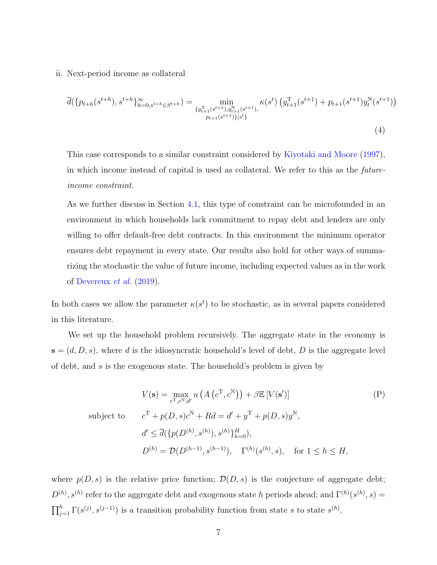#### ii. Next-period income as collateral

<span id="page-7-1"></span>
$$
\overline{d}(\{p_{t+h}(s^{t+h}), s^{t+h}\}_{h=0, s^{t+h}\in S^{t+h}}^{\infty}) = \min_{\{y_{t+1}^{\mathrm{T}}(s^{t+1}), y_{t+1}^{\mathrm{N}}(s^{t+1}), \atop p_{t+1}(s^{t+1})\}\mid s^{t}\}}^{\min} \kappa(s^{t}) \left(y_{t+1}^{\mathrm{T}}(s^{t+1}) + p_{t+1}(s^{t+1})y_{t}^{\mathrm{N}}(s^{t+1})\right)
$$
\n
$$
(4)
$$

This case corresponds to a similar constraint considered by [Kiyotaki and Moore](#page-28-3) [\(1997\)](#page-28-3), in which income instead of capital is used as collateral. We refer to this as the futureincome constraint.

As we further discuss in Section [4.1,](#page-11-1) this type of constraint can be microfounded in an environment in which households lack commitment to repay debt and lenders are only willing to offer default-free debt contracts. In this environment the minimum operator ensures debt repayment in every state. Our results also hold for other ways of summarizing the stochastic the value of future income, including expected values as in the work of [Devereux](#page-27-9) et al. [\(2019\)](#page-27-9).

In both cases we allow the parameter  $\kappa(s^t)$  to be stochastic, as in several papers considered in this literature.

We set up the household problem recursively. The aggregate state in the economy is  $\mathbf{s} = (d, D, s)$ , where d is the idiosyncratic household's level of debt, D is the aggregate level of debt, and s is the exogenous state. The household's problem is given by

<span id="page-7-0"></span>
$$
V(\mathbf{s}) = \max_{c^{\mathrm{T}}, c^{\mathrm{N}}, d'} u\left(A\left(c^{\mathrm{T}}, c^{\mathrm{N}}\right)\right) + \beta \mathbb{E}\left[V(\mathbf{s}')\right] \tag{P}
$$
\nsubject to

\n
$$
c^{\mathrm{T}} + p(D, s)c^{\mathrm{N}} + Rd = d' + y^{\mathrm{T}} + p(D, s)y^{\mathrm{N}},
$$
\n
$$
d' \leq \overline{d}(\{p(D^{(h)}, s^{(h)}), s^{(h)}\}_{h=0}^H),
$$
\n
$$
D^{(h)} = \mathcal{D}(D^{(h-1)}, s^{(h-1)}), \quad \Gamma^{(h)}(s^{(h)}, s), \quad \text{for } 1 \leq h \leq H,
$$

where  $p(D, s)$  is the relative price function;  $\mathcal{D}(D, s)$  is the conjecture of aggregate debt;  $D^{(h)}, s^{(h)}$  refer to the aggregate debt and exogenous state h periods ahead; and  $\Gamma^{(h)}(s^{(h)}, s) =$  $\prod_{j=1}^{h} \Gamma(s^{(j)}, s^{(j-1)})$  is a transition probability function from state s to state  $s^{(h)}$ .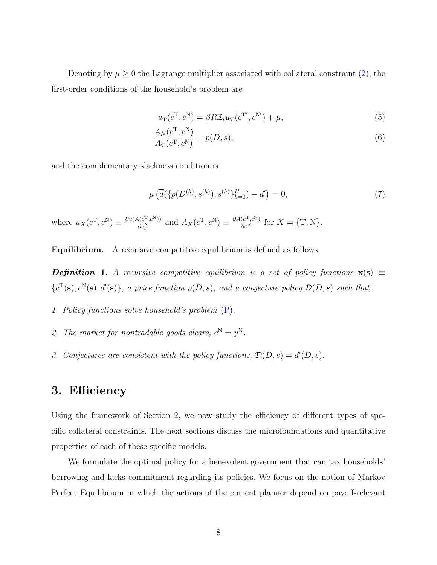Denoting by  $\mu \geq 0$  the Lagrange multiplier associated with collateral constraint [\(2\)](#page-6-0), the first-order conditions of the household's problem are

<span id="page-8-1"></span>
$$
u_{\mathcal{T}}(c^{\mathcal{T}}, c^{\mathcal{N}}) = \beta R \mathbb{E}_t u_{\mathcal{T}}(c^{\mathcal{T}'}, c^{\mathcal{N}'}) + \mu,
$$
\n
$$
\tag{5}
$$

$$
\frac{A_N(c^{\mathrm{T}}, c^{\mathrm{N}})}{A_T(c^{\mathrm{T}}, c^{\mathrm{N}})} = p(D, s),\tag{6}
$$

and the complementary slackness condition is

$$
\mu\left(\overline{d}(\{p(D^{(h)}, s^{(h)}), s^{(h)}\}_{h=0}^H) - d'\right) = 0,\tag{7}
$$

where  $u_X(c^{\mathrm{T}}, c^{\mathrm{N}}) \equiv \frac{\partial u(A(c^{\mathrm{T}}, c^{\mathrm{N}}))}{\partial c^X}$  $\frac{\Delta(a^T, c^N)}{\Delta c_i^X}$  and  $A_X(c^T, c^N) \equiv \frac{\partial A(c^T, c^N)}{\partial c^X}$  for  $X = \{T, N\}.$ 

Equilibrium. A recursive competitive equilibrium is defined as follows.

**Definition 1.** A recursive competitive equilibrium is a set of policy functions  $\mathbf{x}(s) \equiv$  ${c^{\mathrm{T}}(\mathbf{s}), c^{\mathrm{N}}(\mathbf{s}), d'(\mathbf{s})}$ , a price function  $p(D, s)$ , and a conjecture policy  $\mathcal{D}(D, s)$  such that

- 1. Policy functions solve household's problem [\(P\)](#page-7-0).
- 2. The market for nontradable goods clears,  $c^N = y^N$ .
- <span id="page-8-0"></span>3. Conjectures are consistent with the policy functions,  $\mathcal{D}(D, s) = d'(D, s)$ .

## 3. Efficiency

Using the framework of Section [2,](#page-5-0) we now study the efficiency of different types of specific collateral constraints. The next sections discuss the microfoundations and quantitative properties of each of these specific models.

We formulate the optimal policy for a benevolent government that can tax households' borrowing and lacks commitment regarding its policies. We focus on the notion of Markov Perfect Equilibrium in which the actions of the current planner depend on payoff-relevant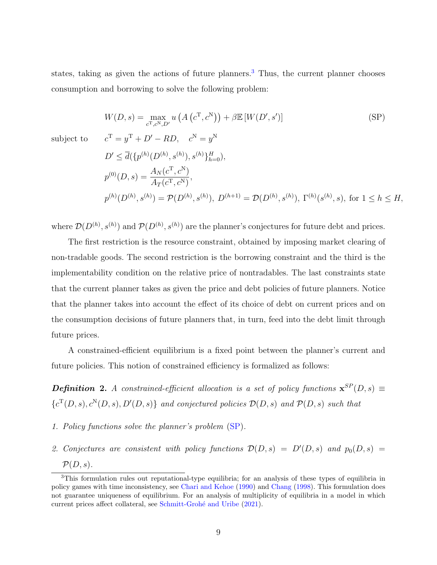states, taking as given the actions of future planners.<sup>[3](#page--1-0)</sup> Thus, the current planner chooses consumption and borrowing to solve the following problem:

$$
W(D,s) = \max_{c^{\mathrm{T}}, c^{\mathrm{N}}, D'} u\left(A\left(c^{\mathrm{T}}, c^{\mathrm{N}}\right)\right) + \beta \mathbb{E}\left[W(D', s')\right] \tag{SP}
$$

subject to

$$
c^{T} = y^{T} + D' - RD, \quad c^{N} = y^{N}
$$
  
\n
$$
D' \leq \overline{d}(\{p^{(h)}(D^{(h)}, s^{(h)}), s^{(h)}\}_{h=0}^{H}),
$$
  
\n
$$
p^{(0)}(D, s) = \frac{A_{N}(c^{T}, c^{N})}{A_{T}(c^{T}, c^{N})},
$$
  
\n
$$
p^{(h)}(D^{(h)}, s^{(h)}) = \mathcal{P}(D^{(h)}, s^{(h)}), D^{(h+1)} = \mathcal{D}(D^{(h)}, s^{(h)}), \Gamma^{(h)}(s^{(h)}, s), \text{ for } 1 \leq h \leq H,
$$

where  $\mathcal{D}(D^{(h)}, s^{(h)})$  and  $\mathcal{P}(D^{(h)}, s^{(h)})$  are the planner's conjectures for future debt and prices.

The first restriction is the resource constraint, obtained by imposing market clearing of non-tradable goods. The second restriction is the borrowing constraint and the third is the implementability condition on the relative price of nontradables. The last constraints state that the current planner takes as given the price and debt policies of future planners. Notice that the planner takes into account the effect of its choice of debt on current prices and on the consumption decisions of future planners that, in turn, feed into the debt limit through future prices.

A constrained-efficient equilibrium is a fixed point between the planner's current and future policies. This notion of constrained efficiency is formalized as follows:

**Definition 2.** A constrained-efficient allocation is a set of policy functions  $\mathbf{x}^{SP}(D,s) \equiv$  ${c}^{T}(D, s), c^{N}(D, s), D'(D, s)$  and conjectured policies  $\mathcal{D}(D, s)$  and  $\mathcal{P}(D, s)$  such that

- 1. Policy functions solve the planner's problem [\(SP\)](#page-32-0).
- 2. Conjectures are consistent with policy functions  $\mathcal{D}(D, s) = D'(D, s)$  and  $p_0(D, s) =$  $\mathcal{P}(D,s)$ .

<sup>3</sup>This formulation rules out reputational-type equilibria; for an analysis of these types of equilibria in policy games with time inconsistency, see [Chari and Kehoe](#page-27-10) [\(1990\)](#page-27-10) and [Chang](#page-27-11) [\(1998\)](#page-27-11). This formulation does not guarantee uniqueness of equilibrium. For an analysis of multiplicity of equilibria in a model in which current prices affect collateral, see Schmitt-Grohé and Uribe [\(2021\)](#page-28-7).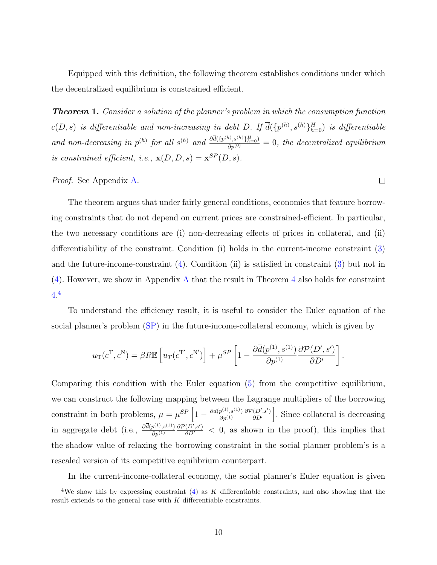Equipped with this definition, the following theorem establishes conditions under which the decentralized equilibrium is constrained efficient.

<span id="page-10-0"></span>**Theorem 1.** Consider a solution of the planner's problem in which the consumption function  $c(D,s)$  is differentiable and non-increasing in debt D. If  $\overline{d}(\{p^{(h)},s^{(h)}\}_{h=0}^H)$  is differentiable and non-decreasing in  $p^{(h)}$  for all  $s^{(h)}$  and  $\frac{\partial \overline{d}(\{p^{(h)}, s^{(h)}\}_{h=0}^H)}{\partial p^{(0)}} = 0$ , the decentralized equilibrium is constrained efficient, i.e.,  $\mathbf{x}(D, D, s) = \mathbf{x}^{SP}(D, s)$ .

Proof. See Appendix [A.](#page-2-0)

The theorem argues that under fairly general conditions, economies that feature borrowing constraints that do not depend on current prices are constrained-efficient. In particular, the two necessary conditions are (i) non-decreasing effects of prices in collateral, and (ii) differentiability of the constraint. Condition (i) holds in the current-income constraint [\(3\)](#page-6-1) and the future-income-constraint [\(4\)](#page-7-1). Condition (ii) is satisfied in constraint [\(3\)](#page-6-1) but not in [\(4\)](#page-7-1). However, we show in Appendix [A](#page-2-0) that the result in Theorem [4](#page-32-1) also holds for constraint  $4.4$  $4.4$ 

To understand the efficiency result, it is useful to consider the Euler equation of the social planner's problem [\(SP\)](#page-32-0) in the future-income-collateral economy, which is given by

$$
u_{\rm T}(c^{\rm T},c^{\rm N}) = \beta R \mathbb{E}\left[u_{T}(c^{\rm T'},c^{\rm N'})\right] + \mu^{SP}\left[1 - \frac{\partial \overline{d}(p^{(1)},s^{(1)})}{\partial p^{(1)}}\frac{\partial \mathcal{P}(D',s')}{\partial D'}\right].
$$

Comparing this condition with the Euler equation [\(5\)](#page-8-1) from the competitive equilibrium, we can construct the following mapping between the Lagrange multipliers of the borrowing constraint in both problems,  $\mu = \mu^{SP} \left[1 - \frac{\partial \bar{d}(p^{(1)}, s^{(1)})}{\partial p^{(1)}}\right]$  $\partial p^{(1)}$  $\partial \mathcal{P}(D',s')$  $\left(\frac{\partial (D', s')}{\partial D'}\right)$ . Since collateral is decreasing in aggregate debt (i.e.,  $\frac{\partial \bar{d}(p^{(1)}, s^{(1)})}{\partial p^{(1)}}$  $\partial p^{(1)}$  $\frac{\partial P(D',s')}{\partial D'}$  < 0, as shown in the proof), this implies that the shadow value of relaxing the borrowing constraint in the social planner problem's is a rescaled version of its competitive equilibrium counterpart.

In the current-income-collateral economy, the social planner's Euler equation is given

 $\Box$ 

<sup>&</sup>lt;sup>4</sup>We show this by expressing constraint  $(4)$  as K differentiable constraints, and also showing that the result extends to the general case with K differentiable constraints.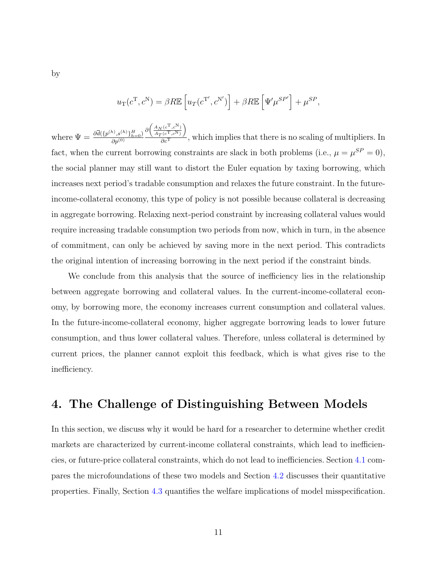$$
u_{\rm T}(c^{\rm T}, c^{\rm N}) = \beta R \mathbb{E}\left[u_{T}(c^{\rm T'}, c^{\rm N'})\right] + \beta R \mathbb{E}\left[\Psi'\mu^{SP'}\right] + \mu^{SP},
$$

where  $\Psi = \frac{\partial \bar{d}(\{p^{(h)}, s^{(h)}\}_{h=0}^H)}{\partial p^{(0)}}$  $\partial p^{(0)}$  $\partial \left( \frac{A_N(c^{\mathrm{T}}, c^{\mathrm{N}})}{4(C^{\mathrm{T}}, N)} \right)$  $A_T(c^{\mathrm{T}}, c^{\mathrm{N}})$  $\setminus$  $\frac{\partial c(t^*, c^{**})}{\partial c^{T}}$ , which implies that there is no scaling of multipliers. In fact, when the current borrowing constraints are slack in both problems (i.e.,  $\mu = \mu^{SP} = 0$ ), the social planner may still want to distort the Euler equation by taxing borrowing, which increases next period's tradable consumption and relaxes the future constraint. In the futureincome-collateral economy, this type of policy is not possible because collateral is decreasing in aggregate borrowing. Relaxing next-period constraint by increasing collateral values would require increasing tradable consumption two periods from now, which in turn, in the absence of commitment, can only be achieved by saving more in the next period. This contradicts the original intention of increasing borrowing in the next period if the constraint binds.

We conclude from this analysis that the source of inefficiency lies in the relationship between aggregate borrowing and collateral values. In the current-income-collateral economy, by borrowing more, the economy increases current consumption and collateral values. In the future-income-collateral economy, higher aggregate borrowing leads to lower future consumption, and thus lower collateral values. Therefore, unless collateral is determined by current prices, the planner cannot exploit this feedback, which is what gives rise to the inefficiency.

## <span id="page-11-0"></span>4. The Challenge of Distinguishing Between Models

<span id="page-11-1"></span>In this section, we discuss why it would be hard for a researcher to determine whether credit markets are characterized by current-income collateral constraints, which lead to inefficiencies, or future-price collateral constraints, which do not lead to inefficiencies. Section [4.1](#page-11-1) compares the microfoundations of these two models and Section [4.2](#page-13-0) discusses their quantitative properties. Finally, Section [4.3](#page-18-0) quantifies the welfare implications of model misspecification.

by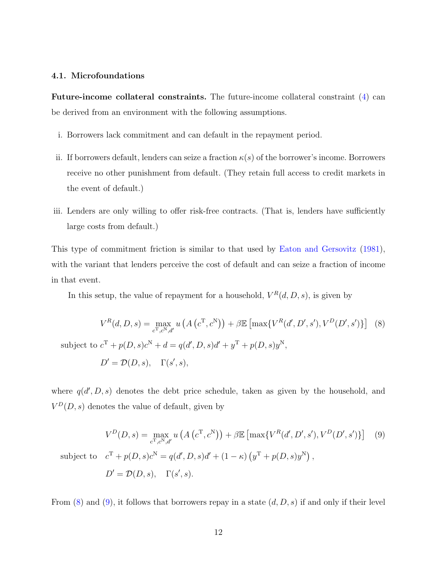### 4.1. Microfoundations

Future-income collateral constraints. The future-income collateral constraint [\(4\)](#page-7-1) can be derived from an environment with the following assumptions.

- i. Borrowers lack commitment and can default in the repayment period.
- ii. If borrowers default, lenders can seize a fraction  $\kappa(s)$  of the borrower's income. Borrowers receive no other punishment from default. (They retain full access to credit markets in the event of default.)
- iii. Lenders are only willing to offer risk-free contracts. (That is, lenders have sufficiently large costs from default.)

This type of commitment friction is similar to that used by [Eaton and Gersovitz](#page-27-7) [\(1981\)](#page-27-7), with the variant that lenders perceive the cost of default and can seize a fraction of income in that event.

<span id="page-12-0"></span>In this setup, the value of repayment for a household,  $V^R(d, D, s)$ , is given by

$$
V^{R}(d, D, s) = \max_{c^{T}, c^{N}, d'} u\left(A(c^{T}, c^{N})\right) + \beta \mathbb{E}\left[\max\{V^{R}(d', D', s'), V^{D}(D', s')\}\right] \tag{8}
$$
  
subject to  $c^{T} + p(D, s)c^{N} + d = q(d', D, s)d' + y^{T} + p(D, s)y^{N}$ ,  

$$
D' = \mathcal{D}(D, s), \quad \Gamma(s', s),
$$

where  $q(d', D, s)$  denotes the debt price schedule, taken as given by the household, and  $V^D(D, s)$  denotes the value of default, given by

<span id="page-12-1"></span>
$$
V^{D}(D, s) = \max_{c^{T}, c^{N}, d'} u\left(A(c^{T}, c^{N})\right) + \beta \mathbb{E}\left[\max\{V^{R}(d', D', s'), V^{D}(D', s')\}\right] \quad (9)
$$
  
subject to  $c^{T} + p(D, s)c^{N} = q(d', D, s)d' + (1 - \kappa) (y^{T} + p(D, s)y^{N}),$   

$$
D' = \mathcal{D}(D, s), \quad \Gamma(s', s).
$$

From  $(8)$  and  $(9)$ , it follows that borrowers repay in a state  $(d, D, s)$  if and only if their level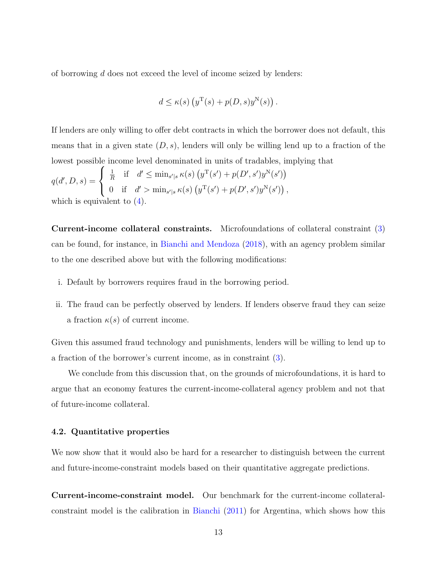of borrowing d does not exceed the level of income seized by lenders:

$$
d \le \kappa(s) \left( y^{\mathrm{T}}(s) + p(D, s) y^{\mathrm{N}}(s) \right).
$$

If lenders are only willing to offer debt contracts in which the borrower does not default, this means that in a given state  $(D, s)$ , lenders will only be willing lend up to a fraction of the lowest possible income level denominated in units of tradables, implying that

$$
q(d', D, s) = \begin{cases} \frac{1}{R} & \text{if } d' \leq \min_{s'|s} \kappa(s) \left( y^{\mathrm{T}}(s') + p(D', s')y^{\mathrm{N}}(s') \right) \\ 0 & \text{if } d' > \min_{s'|s} \kappa(s) \left( y^{\mathrm{T}}(s') + p(D', s')y^{\mathrm{N}}(s') \right), \end{cases}
$$
\nwhich is equivalent to (4).

Current-income collateral constraints. Microfoundations of collateral constraint [\(3\)](#page-6-1) can be found, for instance, in [Bianchi and Mendoza](#page-27-4) [\(2018\)](#page-27-4), with an agency problem similar to the one described above but with the following modifications:

- i. Default by borrowers requires fraud in the borrowing period.
- ii. The fraud can be perfectly observed by lenders. If lenders observe fraud they can seize a fraction  $\kappa(s)$  of current income.

Given this assumed fraud technology and punishments, lenders will be willing to lend up to a fraction of the borrower's current income, as in constraint [\(3\)](#page-6-1).

We conclude from this discussion that, on the grounds of microfoundations, it is hard to argue that an economy features the current-income-collateral agency problem and not that of future-income collateral.

#### <span id="page-13-0"></span>4.2. Quantitative properties

We now show that it would also be hard for a researcher to distinguish between the current and future-income-constraint models based on their quantitative aggregate predictions.

Current-income-constraint model. Our benchmark for the current-income collateralconstraint model is the calibration in [Bianchi](#page-27-2) [\(2011\)](#page-27-2) for Argentina, which shows how this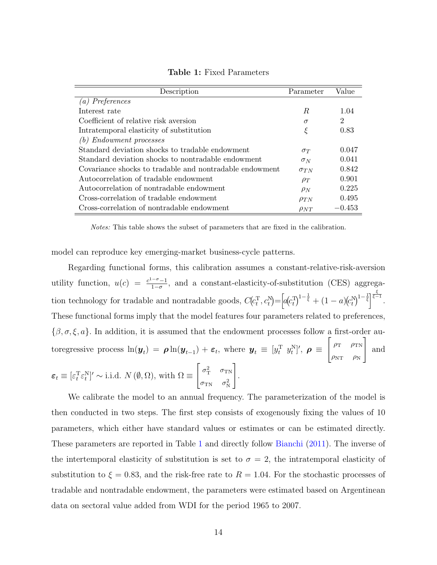<span id="page-14-0"></span>

| Description                                             | Parameter     | Value          |
|---------------------------------------------------------|---------------|----------------|
| (a) Preferences                                         |               |                |
| Interest rate                                           | R.            | 1.04           |
| Coefficient of relative risk aversion                   | $\sigma$      | $\overline{2}$ |
| Intratemporal elasticity of substitution                | ξ             | 0.83           |
| (b) Endowment processes                                 |               |                |
| Standard deviation shocks to tradable endowment         | $\sigma_T$    | 0.047          |
| Standard deviation shocks to nontradable endowment      | $\sigma_N$    | 0.041          |
| Covariance shocks to tradable and nontradable endowment | $\sigma_{TN}$ | 0.842          |
| Autocorrelation of tradable endowment                   | $\rho_T$      | 0.901          |
| Autocorrelation of nontradable endowment                | $\rho_N$      | 0.225          |
| Cross-correlation of tradable endowment                 | $\rho_{TN}$   | 0.495          |
| Cross-correlation of nontradable endowment              | $\rho_{NT}$   | $-0.453$       |

Table 1: Fixed Parameters

Notes: This table shows the subset of parameters that are fixed in the calibration.

model can reproduce key emerging-market business-cycle patterns.

Regarding functional forms, this calibration assumes a constant-relative-risk-aversion utility function,  $u(c) = \frac{c^{1-\sigma}-1}{1-\sigma}$  $\frac{-\sigma-1}{1-\sigma}$ , and a constant-elasticity-of-substitution (CES) aggregation technology for tradable and nontradable goods,  $C(c_t^T, c_t^N) = [a(c_t^T)^{1-\frac{1}{\xi}} + (1-a)(c_t^N)^{1-\frac{1}{\xi}}]^{1-\frac{\xi}{\xi-1}}$ . These functional forms imply that the model features four parameters related to preferences,  $\{\beta, \sigma, \xi, a\}$ . In addition, it is assumed that the endowment processes follow a first-order autoregressive process  $\ln(\boldsymbol{y}_t) = \boldsymbol{\rho} \ln(\boldsymbol{y}_{t-1}) + \boldsymbol{\varepsilon}_t$ , where  $\boldsymbol{y}_t \equiv [y_t^{\mathrm{T}} \; y_t^{\mathrm{N}}]'$ ,  $\boldsymbol{\rho} \equiv$  $\int \rho_{\rm T}$   $\rho_{\rm TN}$  $\rho_{\rm NT}$   $\rho_{\rm N}$ 1 and  $\varepsilon_t \equiv [\varepsilon_t^{\rm T} \varepsilon_t^{\rm N}]' \sim$  i.i.d.  $N(\emptyset, \Omega)$ , with  $\Omega \equiv$  $\begin{bmatrix} \sigma_{\rm T}^2 & \sigma_{\rm TN} \end{bmatrix}$  $\sigma_{\rm TN}$   $\sigma_{\rm N}^2$ 1 .

We calibrate the model to an annual frequency. The parameterization of the model is then conducted in two steps. The first step consists of exogenously fixing the values of 10 parameters, which either have standard values or estimates or can be estimated directly. These parameters are reported in Table [1](#page-14-0) and directly follow [Bianchi](#page-27-2) [\(2011\)](#page-27-2). The inverse of the intertemporal elasticity of substitution is set to  $\sigma = 2$ , the intratemporal elasticity of substitution to  $\xi = 0.83$ , and the risk-free rate to  $R = 1.04$ . For the stochastic processes of tradable and nontradable endowment, the parameters were estimated based on Argentinean data on sectoral value added from WDI for the period 1965 to 2007.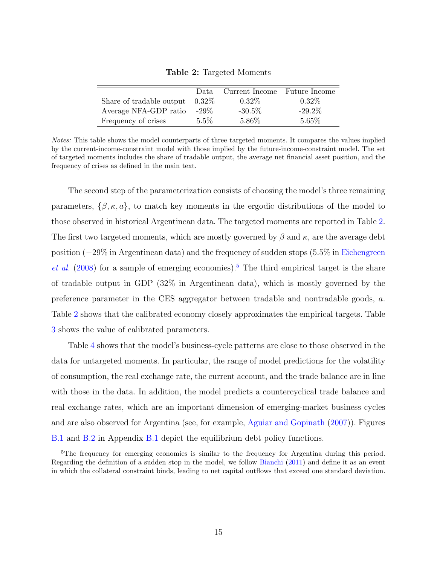<span id="page-15-0"></span>

|                          | Data.    | Current Income Future Income |           |
|--------------------------|----------|------------------------------|-----------|
| Share of tradable output | $0.32\%$ | $0.32\%$                     | $0.32\%$  |
| Average NFA-GDP ratio    | $-29\%$  | $-30.5%$                     | $-29.2\%$ |
| Frequency of crises      | $5.5\%$  | 5.86%                        | 5.65%     |

Table 2: Targeted Moments

Notes: This table shows the model counterparts of three targeted moments. It compares the values implied by the current-income-constraint model with those implied by the future-income-constraint model. The set of targeted moments includes the share of tradable output, the average net financial asset position, and the frequency of crises as defined in the main text.

The second step of the parameterization consists of choosing the model's three remaining parameters,  $\{\beta, \kappa, a\}$ , to match key moments in the ergodic distributions of the model to those observed in historical Argentinean data. The targeted moments are reported in Table [2.](#page-15-0) The first two targeted moments, which are mostly governed by  $\beta$  and  $\kappa$ , are the average debt position (−29% in Argentinean data) and the frequency of sudden stops (5.5% in [Eichengreen](#page-27-12) [et al.](#page-27-12)  $(2008)$  for a sample of emerging economies).<sup>[5](#page--1-0)</sup> The third empirical target is the share of tradable output in GDP (32% in Argentinean data), which is mostly governed by the preference parameter in the CES aggregator between tradable and nontradable goods, a. Table [2](#page-15-0) shows that the calibrated economy closely approximates the empirical targets. Table [3](#page-16-0) shows the value of calibrated parameters.

Table [4](#page-16-1) shows that the model's business-cycle patterns are close to those observed in the data for untargeted moments. In particular, the range of model predictions for the volatility of consumption, the real exchange rate, the current account, and the trade balance are in line with those in the data. In addition, the model predicts a countercyclical trade balance and real exchange rates, which are an important dimension of emerging-market business cycles and are also observed for Argentina (see, for example, [Aguiar and Gopinath](#page-27-13) [\(2007\)](#page-27-13)). Figures [B.1](#page-37-0) and [B.2](#page-38-0) in Appendix [B.1](#page-37-1) depict the equilibrium debt policy functions.

<sup>&</sup>lt;sup>5</sup>The frequency for emerging economies is similar to the frequency for Argentina during this period. Regarding the definition of a sudden stop in the model, we follow [Bianchi](#page-27-2) [\(2011\)](#page-27-2) and define it as an event in which the collateral constraint binds, leading to net capital outflows that exceed one standard deviation.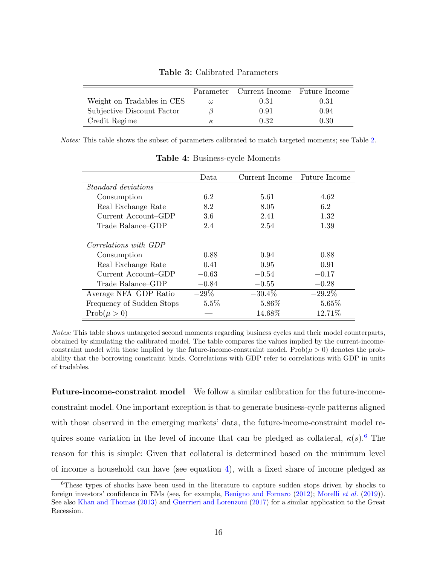<span id="page-16-0"></span>

|                            | Parameter | Current Income Future Income |      |
|----------------------------|-----------|------------------------------|------|
| Weight on Tradables in CES | ω         | 0.31                         | 0.31 |
| Subjective Discount Factor |           | 0.91                         | 0.94 |
| Credit Regime              | к,        | 0.32                         | 0.30 |

Table 3: Calibrated Parameters

Notes: This table shows the subset of parameters calibrated to match targeted moments; see Table [2.](#page-15-0)

<span id="page-16-1"></span>

|                            | Data    | Current Income | <b>Future Income</b> |
|----------------------------|---------|----------------|----------------------|
| <i>Standard deviations</i> |         |                |                      |
| Consumption                | 6.2     | 5.61           | 4.62                 |
| Real Exchange Rate         | 8.2     | 8.05           | 6.2                  |
| Current Account-GDP        | 3.6     | 2.41           | 1.32                 |
| Trade Balance–GDP          | 2.4     | 2.54           | 1.39                 |
| Correlations with GDP      |         |                |                      |
| Consumption                | 0.88    | 0.94           | 0.88                 |
| Real Exchange Rate         | 0.41    | 0.95           | 0.91                 |
| Current Account-GDP        | $-0.63$ | $-0.54$        | $-0.17$              |
| Trade Balance–GDP          | $-0.84$ | $-0.55$        | $-0.28$              |
| Average NFA-GDP Ratio      | $-29\%$ | $-30.4\%$      | $-29.2\%$            |
| Frequency of Sudden Stops  | $5.5\%$ | 5.86%          | 5.65%                |
| $Prob(\mu > 0)$            |         | 14.68%         | 12.71%               |

Table 4: Business-cycle Moments

Notes: This table shows untargeted second moments regarding business cycles and their model counterparts, obtained by simulating the calibrated model. The table compares the values implied by the current-incomeconstraint model with those implied by the future-income-constraint model. Prob $(\mu > 0)$  denotes the probability that the borrowing constraint binds. Correlations with GDP refer to correlations with GDP in units of tradables.

Future-income-constraint model We follow a similar calibration for the future-incomeconstraint model. One important exception is that to generate business-cycle patterns aligned with those observed in the emerging markets' data, the future-income-constraint model requires some variation in the level of income that can be pledged as collateral,  $\kappa(s)$ .<sup>[6](#page--1-0)</sup> The reason for this is simple: Given that collateral is determined based on the minimum level of income a household can have (see equation [4\)](#page-7-1), with a fixed share of income pledged as

<sup>6</sup>These types of shocks have been used in the literature to capture sudden stops driven by shocks to foreign investors' confidence in EMs (see, for example, [Benigno and Fornaro](#page-27-14) [\(2012\)](#page-27-14); [Morelli](#page-28-8) et al. [\(2019\)](#page-28-8)). See also [Khan and Thomas](#page-28-5) [\(2013\)](#page-28-5) and [Guerrieri and Lorenzoni](#page-27-8) [\(2017\)](#page-27-8) for a similar application to the Great Recession.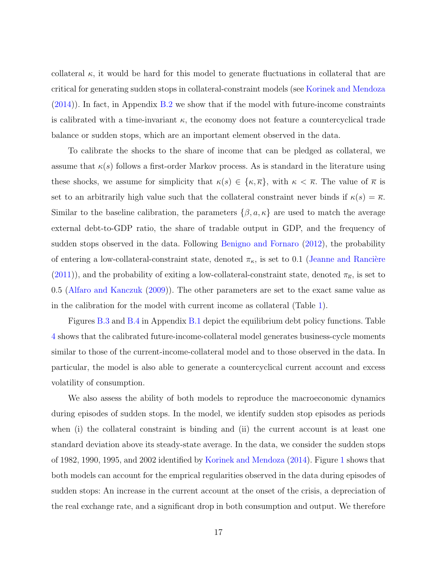collateral  $\kappa$ , it would be hard for this model to generate fluctuations in collateral that are critical for generating sudden stops in collateral-constraint models (see [Korinek and Mendoza](#page-28-4) [\(2014\)](#page-28-4)). In fact, in Appendix [B.2](#page-41-0) we show that if the model with future-income constraints is calibrated with a time-invariant  $\kappa$ , the economy does not feature a countercyclical trade balance or sudden stops, which are an important element observed in the data.

To calibrate the shocks to the share of income that can be pledged as collateral, we assume that  $\kappa(s)$  follows a first-order Markov process. As is standard in the literature using these shocks, we assume for simplicity that  $\kappa(s) \in \{\kappa, \overline{\kappa}\}\,$ , with  $\kappa < \overline{\kappa}$ . The value of  $\overline{\kappa}$  is set to an arbitrarily high value such that the collateral constraint never binds if  $\kappa(s) = \overline{\kappa}$ . Similar to the baseline calibration, the parameters  $\{\beta, a, \kappa\}$  are used to match the average external debt-to-GDP ratio, the share of tradable output in GDP, and the frequency of sudden stops observed in the data. Following [Benigno and Fornaro](#page-27-14) [\(2012\)](#page-27-14), the probability of entering a low-collateral-constraint state, denoted  $\pi_{\kappa}$ , is set to 0.1 (Jeanne and Rancière [\(2011\)](#page-27-15)), and the probability of exiting a low-collateral-constraint state, denoted  $\pi_{\overline{k}}$ , is set to 0.5 [\(Alfaro and Kanczuk](#page-27-16) [\(2009\)](#page-27-16)). The other parameters are set to the exact same value as in the calibration for the model with current income as collateral (Table [1\)](#page-14-0).

Figures [B.3](#page-39-0) and [B.4](#page-40-0) in Appendix [B.1](#page-37-1) depict the equilibrium debt policy functions. Table [4](#page-16-1) shows that the calibrated future-income-collateral model generates business-cycle moments similar to those of the current-income-collateral model and to those observed in the data. In particular, the model is also able to generate a countercyclical current account and excess volatility of consumption.

We also assess the ability of both models to reproduce the macroeconomic dynamics during episodes of sudden stops. In the model, we identify sudden stop episodes as periods when (i) the collateral constraint is binding and (ii) the current account is at least one standard deviation above its steady-state average. In the data, we consider the sudden stops of 1982, 1990, 1995, and 2002 identified by [Korinek and Mendoza](#page-28-4) [\(2014\)](#page-28-4). Figure [1](#page-18-1) shows that both models can account for the emprical regularities observed in the data during episodes of sudden stops: An increase in the current account at the onset of the crisis, a depreciation of the real exchange rate, and a significant drop in both consumption and output. We therefore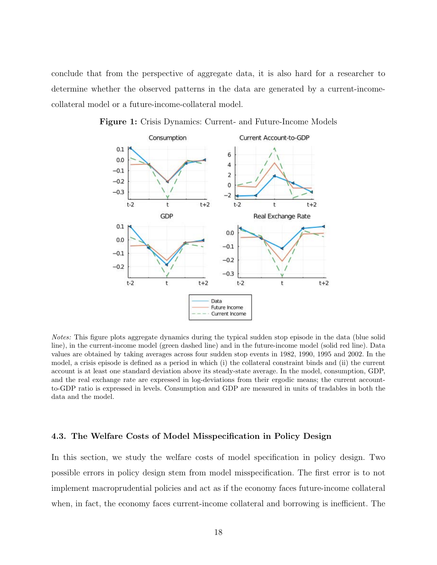conclude that from the perspective of aggregate data, it is also hard for a researcher to determine whether the observed patterns in the data are generated by a current-incomecollateral model or a future-income-collateral model.



<span id="page-18-1"></span>Figure 1: Crisis Dynamics: Current- and Future-Income Models

Notes: This figure plots aggregate dynamics during the typical sudden stop episode in the data (blue solid line), in the current-income model (green dashed line) and in the future-income model (solid red line). Data values are obtained by taking averages across four sudden stop events in 1982, 1990, 1995 and 2002. In the model, a crisis episode is defined as a period in which (i) the collateral constraint binds and (ii) the current account is at least one standard deviation above its steady-state average. In the model, consumption, GDP, and the real exchange rate are expressed in log-deviations from their ergodic means; the current accountto-GDP ratio is expressed in levels. Consumption and GDP are measured in units of tradables in both the data and the model.

#### <span id="page-18-0"></span>4.3. The Welfare Costs of Model Misspecification in Policy Design

In this section, we study the welfare costs of model specification in policy design. Two possible errors in policy design stem from model misspecification. The first error is to not implement macroprudential policies and act as if the economy faces future-income collateral when, in fact, the economy faces current-income collateral and borrowing is inefficient. The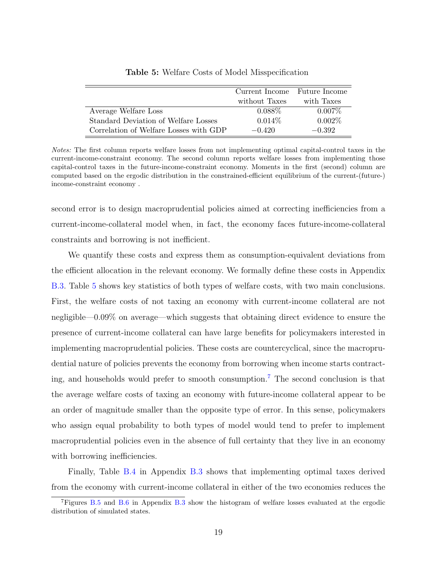<span id="page-19-0"></span>

|                                        | Current Income Future Income |            |
|----------------------------------------|------------------------------|------------|
|                                        | without Taxes                | with Taxes |
| Average Welfare Loss                   | $0.088\%$                    | $0.007\%$  |
| Standard Deviation of Welfare Losses   | $0.014\%$                    | $0.002\%$  |
| Correlation of Welfare Losses with GDP | $-0.420$                     | $-0.392$   |

Table 5: Welfare Costs of Model Misspecification

Notes: The first column reports welfare losses from not implementing optimal capital-control taxes in the current-income-constraint economy. The second column reports welfare losses from implementing those capital-control taxes in the future-income-constraint economy. Moments in the first (second) column are computed based on the ergodic distribution in the constrained-efficient equilibrium of the current-(future-) income-constraint economy .

second error is to design macroprudential policies aimed at correcting inefficiencies from a current-income-collateral model when, in fact, the economy faces future-income-collateral constraints and borrowing is not inefficient.

We quantify these costs and express them as consumption-equivalent deviations from the efficient allocation in the relevant economy. We formally define these costs in Appendix [B.3.](#page-43-0) Table [5](#page-19-0) shows key statistics of both types of welfare costs, with two main conclusions. First, the welfare costs of not taxing an economy with current-income collateral are not negligible—0.09% on average—which suggests that obtaining direct evidence to ensure the presence of current-income collateral can have large benefits for policymakers interested in implementing macroprudential policies. These costs are countercyclical, since the macroprudential nature of policies prevents the economy from borrowing when income starts contract-ing, and households would prefer to smooth consumption.<sup>[7](#page--1-0)</sup> The second conclusion is that the average welfare costs of taxing an economy with future-income collateral appear to be an order of magnitude smaller than the opposite type of error. In this sense, policymakers who assign equal probability to both types of model would tend to prefer to implement macroprudential policies even in the absence of full certainty that they live in an economy with borrowing inefficiencies.

Finally, Table [B.4](#page-44-0) in Appendix [B.3](#page-43-0) shows that implementing optimal taxes derived from the economy with current-income collateral in either of the two economies reduces the

<sup>&</sup>lt;sup>7</sup>Figures [B.5](#page-45-0) and [B.6](#page-46-0) in Appendix [B.3](#page-43-0) show the histogram of welfare losses evaluated at the ergodic distribution of simulated states.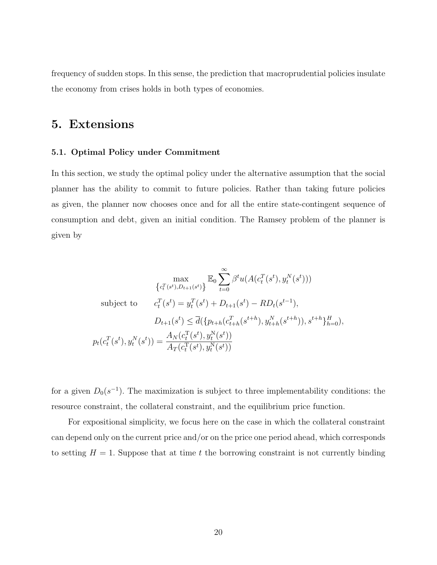<span id="page-20-0"></span>frequency of sudden stops. In this sense, the prediction that macroprudential policies insulate the economy from crises holds in both types of economies.

## 5. Extensions

### 5.1. Optimal Policy under Commitment

In this section, we study the optimal policy under the alternative assumption that the social planner has the ability to commit to future policies. Rather than taking future policies as given, the planner now chooses once and for all the entire state-contingent sequence of consumption and debt, given an initial condition. The Ramsey problem of the planner is given by

$$
\max_{\{c_t^T(s^t), D_{t+1}(s^t)\}} \mathbb{E}_0 \sum_{t=0}^{\infty} \beta^t u(A(c_t^T(s^t), y_t^N(s^t)))
$$
\nsubject to\n
$$
c_t^T(s^t) = y_t^T(s^t) + D_{t+1}(s^t) - RD_t(s^{t-1}),
$$
\n
$$
D_{t+1}(s^t) \leq \overline{d}(\{p_{t+h}(c_{t+h}^T(s^{t+h}), y_{t+h}^N(s^{t+h})), s^{t+h}\}_{h=0}),
$$
\n
$$
p_t(c_t^T(s^t), y_t^N(s^t)) = \frac{A_N(c_t^T(s^t), y_t^N(s^t))}{A_T(c_t^T(s^t), y_t^N(s^t))}
$$

for a given  $D_0(s^{-1})$ . The maximization is subject to three implementability conditions: the resource constraint, the collateral constraint, and the equilibrium price function.

For expositional simplicity, we focus here on the case in which the collateral constraint can depend only on the current price and/or on the price one period ahead, which corresponds to setting  $H = 1$ . Suppose that at time t the borrowing constraint is not currently binding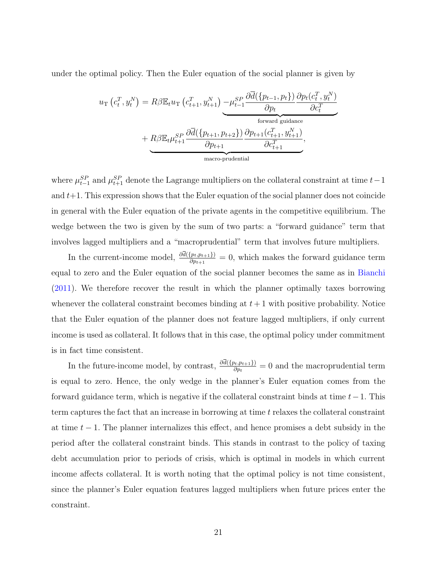under the optimal policy. Then the Euler equation of the social planner is given by

$$
u_{\rm T}\left(c_t^T, y_t^N\right) = R\beta \mathbb{E}_t u_{\rm T}\left(c_{t+1}^T, y_{t+1}^N\right) - \mu_{t-1}^{SP} \frac{\partial \overline{d}(\{p_{t-1}, p_t\})}{\partial p_t} \frac{\partial p_t(c_t^T, y_t^N)}{\partial c_t^T} + R\beta \mathbb{E}_t \mu_{t+1}^{SP} \frac{\partial \overline{d}(\{p_{t+1}, p_{t+2}\})}{\partial p_{t+1}} \frac{\partial p_{t+1}(c_{t+1}^T, y_{t+1}^N)}{\partial c_{t+1}^T},
$$
\n
$$
\underbrace{\text{macro-pudential}}.
$$

where  $\mu_{t-1}^{SP}$  and  $\mu_{t+1}^{SP}$  denote the Lagrange multipliers on the collateral constraint at time  $t-1$ and  $t+1$ . This expression shows that the Euler equation of the social planner does not coincide in general with the Euler equation of the private agents in the competitive equilibrium. The wedge between the two is given by the sum of two parts: a "forward guidance" term that involves lagged multipliers and a "macroprudential" term that involves future multipliers.

In the current-income model,  $\frac{\partial d(\{p_t, p_{t+1}\})}{\partial p_{t+1}} = 0$ , which makes the forward guidance term equal to zero and the Euler equation of the social planner becomes the same as in [Bianchi](#page-27-2) [\(2011\)](#page-27-2). We therefore recover the result in which the planner optimally taxes borrowing whenever the collateral constraint becomes binding at  $t + 1$  with positive probability. Notice that the Euler equation of the planner does not feature lagged multipliers, if only current income is used as collateral. It follows that in this case, the optimal policy under commitment is in fact time consistent.

In the future-income model, by contrast,  $\frac{\partial d(\{p_t, p_{t+1}\})}{\partial p_t} = 0$  and the macroprudential term is equal to zero. Hence, the only wedge in the planner's Euler equation comes from the forward guidance term, which is negative if the collateral constraint binds at time  $t-1$ . This term captures the fact that an increase in borrowing at time t relaxes the collateral constraint at time  $t - 1$ . The planner internalizes this effect, and hence promises a debt subsidy in the period after the collateral constraint binds. This stands in contrast to the policy of taxing debt accumulation prior to periods of crisis, which is optimal in models in which current income affects collateral. It is worth noting that the optimal policy is not time consistent, since the planner's Euler equation features lagged multipliers when future prices enter the constraint.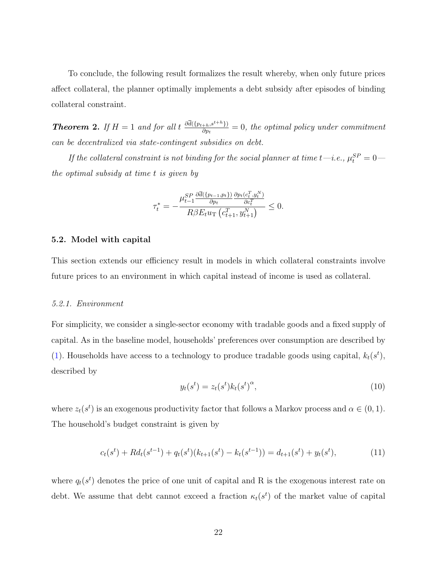To conclude, the following result formalizes the result whereby, when only future prices affect collateral, the planner optimally implements a debt subsidy after episodes of binding collateral constraint.

<span id="page-22-0"></span>**Theorem 2.** If  $H = 1$  and for all  $t \frac{\partial \overline{d}(\{p_{t+h}, s^{t+h}\})}{\partial p_t}$  $\frac{(\partial_{h+1} S^{s+n})}{\partial p_t} = 0$ , the optimal policy under commitment can be decentralized via state-contingent subsidies on debt.

If the collateral constraint is not binding for the social planner at time t—i.e.,  $\mu_t^{SP} = 0$  the optimal subsidy at time t is given by

$$
\tau_t^* = -\frac{\mu_{t-1}^{SP} \frac{\partial \bar{d}(\{p_{t-1}, p_t\})}{\partial p_t} \frac{\partial p_t(c_t^T, y_t^N)}{\partial c_t^T}}{R \beta E_t u_{\mathrm{T}} \left(c_{t+1}^T, y_{t+1}^N\right)} \le 0.
$$

#### 5.2. Model with capital

This section extends our efficiency result in models in which collateral constraints involve future prices to an environment in which capital instead of income is used as collateral.

#### 5.2.1. Environment

For simplicity, we consider a single-sector economy with tradable goods and a fixed supply of capital. As in the baseline model, households' preferences over consumption are described by [\(1\)](#page-5-1). Households have access to a technology to produce tradable goods using capital,  $k_t(s^t)$ , described by

$$
y_t(s^t) = z_t(s^t)k_t(s^t)^{\alpha}, \qquad (10)
$$

where  $z_t(s^t)$  is an exogenous productivity factor that follows a Markov process and  $\alpha \in (0,1)$ . The household's budget constraint is given by

$$
c_t(s^t) + R d_t(s^{t-1}) + q_t(s^t)(k_{t+1}(s^t) - k_t(s^{t-1})) = d_{t+1}(s^t) + y_t(s^t),
$$
\n(11)

where  $q_t(s^t)$  denotes the price of one unit of capital and R is the exogenous interest rate on debt. We assume that debt cannot exceed a fraction  $\kappa_t(s^t)$  of the market value of capital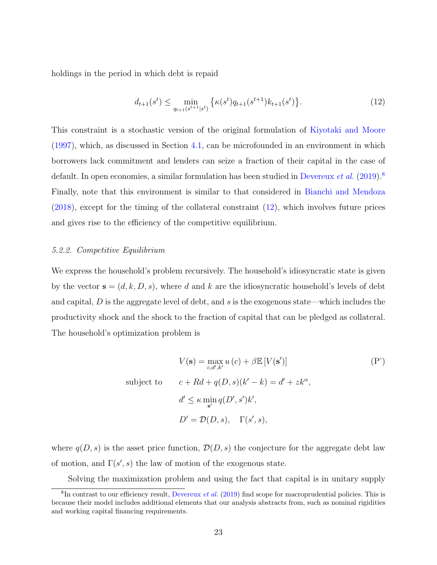holdings in the period in which debt is repaid

<span id="page-23-0"></span>
$$
d_{t+1}(s^t) \le \min_{q_{t+1}(s^{t+1}|s^t)} \left\{ \kappa(s^t) q_{t+1}(s^{t+1}) k_{t+1}(s^t) \right\}.
$$
\n(12)

This constraint is a stochastic version of the original formulation of [Kiyotaki and Moore](#page-28-3) [\(1997\)](#page-28-3), which, as discussed in Section [4.1,](#page-11-1) can be microfounded in an environment in which borrowers lack commitment and lenders can seize a fraction of their capital in the case of default. In open economies, a similar formulation has been studied in [Devereux](#page-27-9) *et al.* [\(2019\)](#page-27-9).<sup>[8](#page--1-0)</sup> Finally, note that this environment is similar to that considered in [Bianchi and Mendoza](#page-27-4) [\(2018\)](#page-27-4), except for the timing of the collateral constraint [\(12\)](#page-23-0), which involves future prices and gives rise to the efficiency of the competitive equilibrium.

### 5.2.2. Competitive Equilibrium

We express the household's problem recursively. The household's idiosyncratic state is given by the vector  $\mathbf{s} = (d, k, D, s)$ , where d and k are the idiosyncratic household's levels of debt and capital,  $D$  is the aggregate level of debt, and  $s$  is the exogenous state—which includes the productivity shock and the shock to the fraction of capital that can be pledged as collateral. The household's optimization problem is

<span id="page-23-1"></span>
$$
V(\mathbf{s}) = \max_{c,d',k'} u(c) + \beta \mathbb{E}[V(\mathbf{s}')] \tag{P'}
$$
  
subject to 
$$
c + Rd + q(D, s)(k' - k) = d' + zk^{\alpha},
$$

$$
d' \leq \kappa \min_{\mathbf{s}'} q(D', s')k',
$$

$$
D' = \mathcal{D}(D, s), \quad \Gamma(s', s),
$$

where  $q(D, s)$  is the asset price function,  $\mathcal{D}(D, s)$  the conjecture for the aggregate debt law of motion, and  $\Gamma(s', s)$  the law of motion of the exogenous state.

Solving the maximization problem and using the fact that capital is in unitary supply

 ${}^{8}$ In contrast to our efficiency result, [Devereux](#page-27-9) *et al.* [\(2019\)](#page-27-9) find scope for macroprudential policies. This is because their model includes additional elements that our analysis abstracts from, such as nominal rigidities and working capital financing requirements.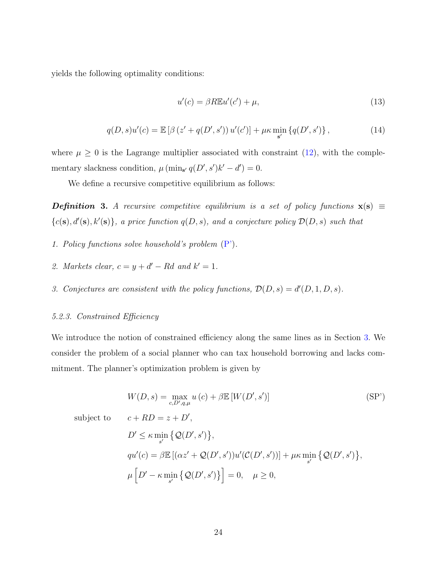yields the following optimality conditions:

$$
u'(c) = \beta R \mathbb{E} u'(c') + \mu,\tag{13}
$$

$$
q(D, s)u'(c) = \mathbb{E}\left[\beta\left(z' + q(D', s')\right)u'(c')\right] + \mu\kappa \min_{s'} \{q(D', s')\},\tag{14}
$$

where  $\mu \geq 0$  is the Lagrange multiplier associated with constraint [\(12\)](#page-23-0), with the complementary slackness condition,  $\mu$  (min<sub>s'</sub>  $q(D', s')k' - d' = 0$ .

We define a recursive competitive equilibrium as follows:

**Definition 3.** A recursive competitive equilibrium is a set of policy functions  $\mathbf{x}(s) \equiv$  ${c(s), d'(s), k'(s)}$ , a price function  $q(D, s)$ , and a conjecture policy  $\mathcal{D}(D, s)$  such that

- 1. Policy functions solve household's problem  $(P')$ .
- 2. Markets clear,  $c = y + d' Rd$  and  $k' = 1$ .
- 3. Conjectures are consistent with the policy functions,  $\mathcal{D}(D, s) = d'(D, 1, D, s)$ .

#### 5.2.3. Constrained Efficiency

We introduce the notion of constrained efficiency along the same lines as in Section [3.](#page-8-0) We consider the problem of a social planner who can tax household borrowing and lacks commitment. The planner's optimization problem is given by

<span id="page-24-0"></span>
$$
W(D, s) = \max_{c, D', q, \mu} u(c) + \beta \mathbb{E}[W(D', s')]
$$
\nsubject to

\n
$$
c + RD = z + D',
$$
\n
$$
D' \leq \kappa \min_{s'} \{ \mathcal{Q}(D', s') \},
$$
\n
$$
qu'(c) = \beta \mathbb{E}[(\alpha z' + \mathcal{Q}(D', s'))u'(\mathcal{C}(D', s'))] + \mu \kappa \min_{s'} \{ \mathcal{Q}(D', s') \},
$$
\n
$$
\mu \left[ D' - \kappa \min_{s'} \{ \mathcal{Q}(D', s') \} \right] = 0, \quad \mu \geq 0,
$$
\n(SP')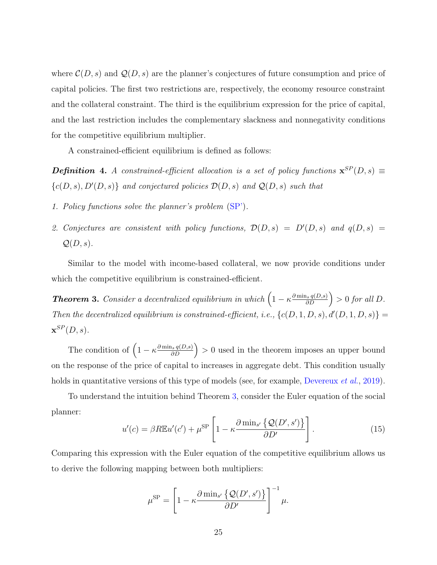where  $\mathcal{C}(D, s)$  and  $\mathcal{Q}(D, s)$  are the planner's conjectures of future consumption and price of capital policies. The first two restrictions are, respectively, the economy resource constraint and the collateral constraint. The third is the equilibrium expression for the price of capital, and the last restriction includes the complementary slackness and nonnegativity conditions for the competitive equilibrium multiplier.

A constrained-efficient equilibrium is defined as follows:

**Definition 4.** A constrained-efficient allocation is a set of policy functions  $\mathbf{x}^{SP}(D,s)$  =  ${c(D, s), D'(D, s)}$  and conjectured policies  $D(D, s)$  and  $Q(D, s)$  such that

- 1. Policy functions solve the planner's problem [\(SP'\)](#page-24-0).
- 2. Conjectures are consistent with policy functions,  $\mathcal{D}(D, s) = D'(D, s)$  and  $q(D, s) =$  $Q(D, s)$ .

Similar to the model with income-based collateral, we now provide conditions under which the competitive equilibrium is constrained-efficient.

<span id="page-25-0"></span>**Theorem 3.** Consider a decentralized equilibrium in which  $\left(1 - \kappa \frac{\partial \min_s q(D,s)}{\partial D}\right) > 0$  for all D. Then the decentralized equilibrium is constrained-efficient, i.e.,  $\{c(D, 1, D, s), d'(D, 1, D, s)\} =$  $\mathbf{x}^{SP}(D,s).$ 

The condition of  $\left(1 - \kappa \frac{\partial \min_{s} q(D,s)}{\partial D}\right) > 0$  used in the theorem imposes an upper bound on the response of the price of capital to increases in aggregate debt. This condition usually holds in quantitative versions of this type of models (see, for example, [Devereux](#page-27-9) *et al.*, [2019\)](#page-27-9).

To understand the intuition behind Theorem [3,](#page-25-0) consider the Euler equation of the social planner:

$$
u'(c) = \beta R \mathbb{E} u'(c') + \mu^{\text{SP}} \left[ 1 - \kappa \frac{\partial \min_{s'} \{ \mathcal{Q}(D', s') \}}{\partial D'} \right]. \tag{15}
$$

Comparing this expression with the Euler equation of the competitive equilibrium allows us to derive the following mapping between both multipliers:

$$
\mu^{\rm SP} = \left[1 - \kappa \frac{\partial \min_{s'} \{ \mathcal{Q}(D', s') \}}{\partial D'}\right]^{-1} \mu.
$$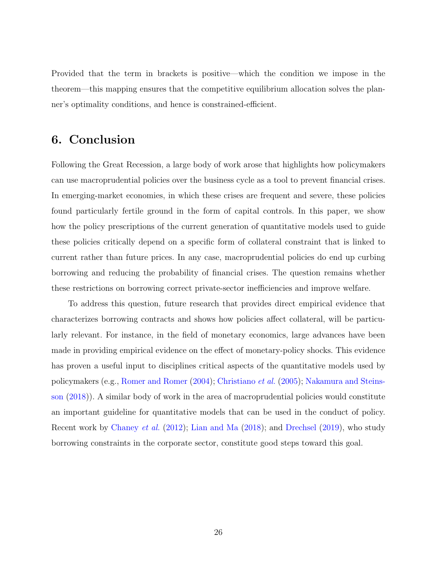Provided that the term in brackets is positive—which the condition we impose in the theorem—this mapping ensures that the competitive equilibrium allocation solves the planner's optimality conditions, and hence is constrained-efficient.

## <span id="page-26-0"></span>6. Conclusion

Following the Great Recession, a large body of work arose that highlights how policymakers can use macroprudential policies over the business cycle as a tool to prevent financial crises. In emerging-market economies, in which these crises are frequent and severe, these policies found particularly fertile ground in the form of capital controls. In this paper, we show how the policy prescriptions of the current generation of quantitative models used to guide these policies critically depend on a specific form of collateral constraint that is linked to current rather than future prices. In any case, macroprudential policies do end up curbing borrowing and reducing the probability of financial crises. The question remains whether these restrictions on borrowing correct private-sector inefficiencies and improve welfare.

To address this question, future research that provides direct empirical evidence that characterizes borrowing contracts and shows how policies affect collateral, will be particularly relevant. For instance, in the field of monetary economics, large advances have been made in providing empirical evidence on the effect of monetary-policy shocks. This evidence has proven a useful input to disciplines critical aspects of the quantitative models used by policymakers (e.g., [Romer and Romer](#page-28-9) [\(2004\)](#page-28-9); [Christiano](#page-27-17) et al. [\(2005\)](#page-27-17); [Nakamura and Steins](#page-28-10)[son](#page-28-10) [\(2018\)](#page-28-10)). A similar body of work in the area of macroprudential policies would constitute an important guideline for quantitative models that can be used in the conduct of policy. Recent work by [Chaney](#page-27-18) et al. [\(2012\)](#page-27-18); [Lian and Ma](#page-28-11) [\(2018\)](#page-28-11); and [Drechsel](#page-27-19) [\(2019\)](#page-27-19), who study borrowing constraints in the corporate sector, constitute good steps toward this goal.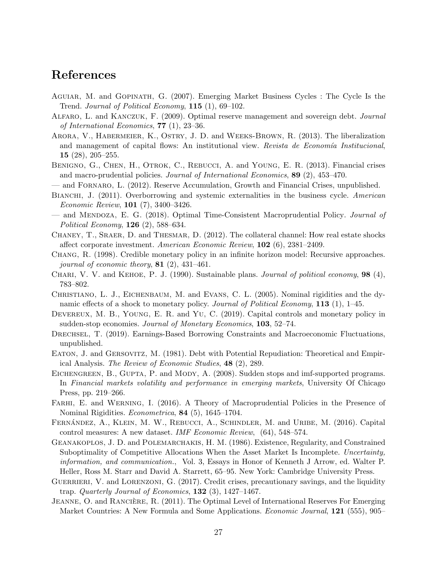## References

- <span id="page-27-13"></span>Aguiar, M. and Gopinath, G. (2007). Emerging Market Business Cycles : The Cycle Is the Trend. Journal of Political Economy, 115 (1), 69–102.
- <span id="page-27-16"></span>Alfaro, L. and Kanczuk, F. (2009). Optimal reserve management and sovereign debt. Journal of International Economics, 77 (1), 23–36.
- <span id="page-27-5"></span>Arora, V., Habermeier, K., Ostry, J. D. and Weeks-Brown, R. (2013). The liberalization and management of capital flows: An institutional view. Revista de Economía Institucional, 15 (28), 205–255.
- <span id="page-27-3"></span>BENIGNO, G., CHEN, H., OTROK, C., REBUCCI, A. and YOUNG, E. R. (2013). Financial crises and macro-prudential policies. Journal of International Economics, 89 (2), 453–470.
- <span id="page-27-14"></span>— and Fornaro, L. (2012). Reserve Accumulation, Growth and Financial Crises, unpublished.
- <span id="page-27-2"></span>BIANCHI, J. (2011). Overborrowing and systemic externalities in the business cycle. American Economic Review, 101 (7), 3400–3426.
- <span id="page-27-4"></span>— and Mendoza, E. G. (2018). Optimal Time-Consistent Macroprudential Policy. Journal of Political Economy, 126 (2), 588–634.
- <span id="page-27-18"></span>CHANEY, T., SRAER, D. and THESMAR, D. (2012). The collateral channel: How real estate shocks affect corporate investment. American Economic Review, 102 (6), 2381–2409.
- <span id="page-27-11"></span>Chang, R. (1998). Credible monetary policy in an infinite horizon model: Recursive approaches. journal of economic theory,  $81$  (2), 431-461.
- <span id="page-27-10"></span>CHARI, V. V. and KEHOE, P. J.  $(1990)$ . Sustainable plans. *Journal of political economy*, **98**  $(4)$ , 783–802.
- <span id="page-27-17"></span>CHRISTIANO, L. J., EICHENBAUM, M. and EVANS, C. L. (2005). Nominal rigidities and the dynamic effects of a shock to monetary policy. Journal of Political Economy, 113 (1), 1–45.
- <span id="page-27-9"></span>DEVEREUX, M. B., YOUNG, E. R. and YU, C. (2019). Capital controls and monetary policy in sudden-stop economies. Journal of Monetary Economics, 103, 52–74.
- <span id="page-27-19"></span>DRECHSEL, T. (2019). Earnings-Based Borrowing Constraints and Macroeconomic Fluctuations, unpublished.
- <span id="page-27-7"></span>Eaton, J. and Gersovitz, M. (1981). Debt with Potential Repudiation: Theoretical and Empirical Analysis. The Review of Economic Studies, 48 (2), 289.
- <span id="page-27-12"></span>EICHENGREEN, B., GUPTA, P. and MODY, A. (2008). Sudden stops and imf-supported programs. In Financial markets volatility and performance in emerging markets, University Of Chicago Press, pp. 219–266.
- <span id="page-27-6"></span>FARHI, E. and WERNING, I. (2016). A Theory of Macroprudential Policies in the Presence of Nominal Rigidities. Econometrica, 84 (5), 1645–1704.
- <span id="page-27-0"></span>FERNÁNDEZ, A., KLEIN, M. W., REBUCCI, A., SCHINDLER, M. and URIBE, M. (2016). Capital control measures: A new dataset. IMF Economic Review, (64), 548–574.
- <span id="page-27-1"></span>Geanakoplos, J. D. and Polemarchakis, H. M. (1986). Existence, Regularity, and Constrained Suboptimality of Competitive Allocations When the Asset Market Is Incomplete. Uncertainty, information, and communication., Vol. 3, Essays in Honor of Kenneth J Arrow, ed. Walter P. Heller, Ross M. Starr and David A. Starrett, 65–95. New York: Cambridge University Press.
- <span id="page-27-8"></span>GUERRIERI, V. and LORENZONI, G. (2017). Credit crises, precautionary savings, and the liquidity trap. Quarterly Journal of Economics,  $132$  (3),  $1427-1467$ .
- <span id="page-27-15"></span>JEANNE, O. and RANCIERE, R. (2011). The Optimal Level of International Reserves For Emerging Market Countries: A New Formula and Some Applications. *Economic Journal*, **121** (555), 905–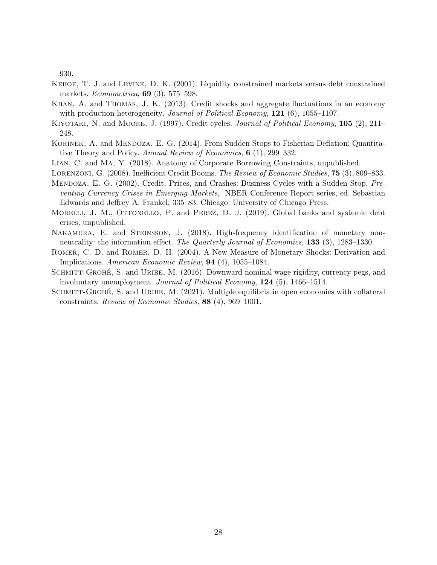930.

- <span id="page-28-0"></span>Kehoe, T. J. and Levine, D. K. (2001). Liquidity constrained markets versus debt constrained markets. *Econometrica*, **69** (3), 575–598.
- <span id="page-28-5"></span>Khan, A. and Thomas, J. K. (2013). Credit shocks and aggregate fluctuations in an economy with production heterogeneity. Journal of Political Economy,  $121$  (6), 1055–1107.
- <span id="page-28-3"></span>KIYOTAKI, N. and MOORE, J. (1997). Credit cycles. Journal of Political Economy, 105 (2), 211– 248.
- <span id="page-28-4"></span>KORINEK, A. and MENDOZA, E. G. (2014). From Sudden Stops to Fisherian Deflation: Quantitative Theory and Policy. Annual Review of Economics, 6 (1), 299–332.
- <span id="page-28-11"></span>Lian, C. and Ma, Y. (2018). Anatomy of Corporate Borrowing Constraints, unpublished.
- <span id="page-28-6"></span><span id="page-28-1"></span>LORENZONI, G. (2008). Inefficient Credit Booms. The Review of Economic Studies, 75 (3), 809–833.
- Mendoza, E. G. (2002). Credit, Prices, and Crashes: Business Cycles with a Sudden Stop. Preventing Currency Crises in Emerging Markets, NBER Conference Report series, ed. Sebastian Edwards and Jeffrey A. Frankel, 335–83. Chicago: University of Chicago Press.
- <span id="page-28-8"></span>MORELLI, J. M., OTTONELLO, P. and PEREZ, D. J. (2019). Global banks and systemic debt crises, unpublished.
- <span id="page-28-10"></span>NAKAMURA, E. and STEINSSON, J. (2018). High-frequency identification of monetary nonneutrality: the information effect. The Quarterly Journal of Economics, 133 (3), 1283–1330.
- <span id="page-28-9"></span>Romer, C. D. and Romer, D. H. (2004). A New Measure of Monetary Shocks: Derivation and Implications. American Economic Review, 94 (4), 1055–1084.
- <span id="page-28-2"></span>SCHMITT-GROHÉ, S. and URIBE, M. (2016). Downward nominal wage rigidity, currency pegs, and involuntary unemployment. Journal of Political Economy, 124 (5), 1466–1514.
- <span id="page-28-7"></span>SCHMITT-GROHÉ, S. and URIBE, M. (2021). Multiple equilibria in open economies with collateral constraints. Review of Economic Studies, 88 (4), 969–1001.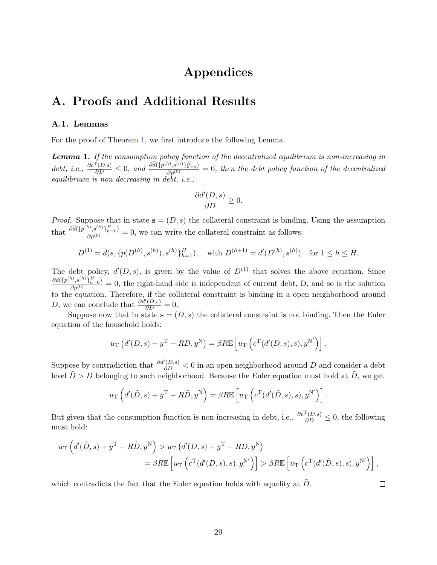# Appendices

## A. Proofs and Additional Results

#### A.1. Lemmas

For the proof of Theorem [1,](#page-10-0) we first introduce the following Lemma.

<span id="page-29-0"></span>Lemma 1. If the consumption policy function of the decentralized equilibrium is non-increasing in debt, i.e.,  $\frac{\partial c^{\mathrm{T}}(D,s)}{\partial D} \leq 0$ , and  $\frac{\partial \overline{d}(\{p^{(h)},s^{(h)}\}_{h=0})}{\partial p^{(0)}} = 0$ , then the debt policy function of the decentralized equilibrium is non-decreasing in debt, i.e.,

$$
\frac{\partial d'(D,s)}{\partial D}\geq 0.
$$

*Proof.* Suppose that in state  $s = (D, s)$  the collateral constraint is binding. Using the assumption that  $\frac{\partial \overline{d}(\{p^{(h)},s^{(h)}\}_{h=0}^H)}{\partial p^{(0)}}=0$ , we can write the collateral constraint as follows:

$$
D^{(1)} = \overline{d}(s, \{p(D^{(h)}, s^{(h)}), s^{(h)}\}_{h=1}^H), \text{ with } D^{(h+1)} = d'(D^{(h)}, s^{(h)}) \text{ for } 1 \le h \le H.
$$

The debt policy,  $d'(D, s)$ , is given by the value of  $D^{(1)}$  that solves the above equation. Since  $\frac{\partial \overline{d}(\{p^{(h)},p^{(h)},s^{(h)}\}_{h=0}^{H}}{\partial p^{(0)}}=0$ , the right-hand side is independent of current debt, D, and so is the solution to the equation. Therefore, if the collateral constraint is binding in a open neighborhood around D, we can conclude that  $\frac{\partial d'(D,s)}{\partial D} = 0$ .

Suppose now that in state  $s = (D, s)$  the collateral constraint is not binding. Then the Euler equation of the household holds:

$$
u_{\rm T}\left(d'(D,s)+y^{\rm T}-RD,y^{\rm N}\right)=\beta R\mathbb{E}\left[u_{\rm T}\left(c^{\rm T}(d'(D,s),s),y^{\rm N'}\right)\right].
$$

Suppose by contradiction that  $\frac{\partial d'(D,s)}{\partial D} < 0$  in an open neighborhood around D and consider a debt level  $\tilde{D} > D$  belonging to such neighborhood. Because the Euler equation must hold at  $\tilde{D}$ , we get

$$
u_{\rm T}\left(d'(\tilde{D},s)+y^{\rm T}-R\tilde{D},y^{\rm N}\right)=\beta R\mathbb{E}\left[u_{\rm T}\left(c^{\rm T}(d'(\tilde{D},s),s),y^{\rm N'}\right)\right].
$$

But given that the consumption function is non-increasing in debt, i.e.,  $\frac{\partial c^T(D,s)}{\partial D} \leq 0$ , the following must hold:

$$
u_{\mathcal{T}}\left(d'(\tilde{D},s) + y^{\mathcal{T}} - R\tilde{D}, y^{\mathcal{N}}\right) > u_{\mathcal{T}}\left(d'(D,s) + y^{\mathcal{T}} - RD, y^{\mathcal{N}}\right)
$$
  
=  $\beta R \mathbb{E}\left[u_{\mathcal{T}}\left(c^{\mathcal{T}}(d'(D,s),s), y^{\mathcal{N}'}\right)\right] > \beta R \mathbb{E}\left[u_{\mathcal{T}}\left(c^{\mathcal{T}}(d'(\tilde{D},s),s), y^{\mathcal{N}'}\right)\right],$ 

which contradicts the fact that the Euler equation holds with equality at  $D$ .

 $\Box$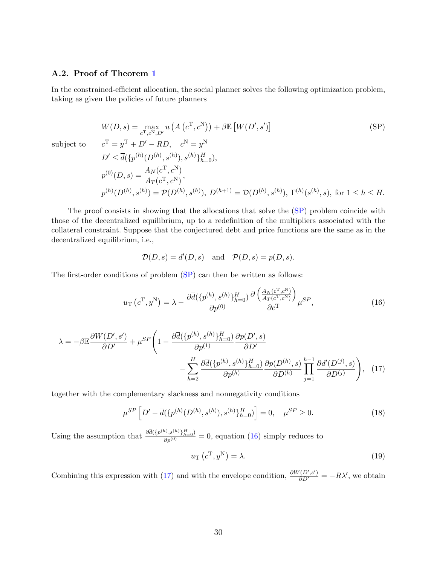### A.2. Proof of Theorem [1](#page-10-0)

In the constrained-efficient allocation, the social planner solves the following optimization problem, taking as given the policies of future planners

$$
W(D,s) = \max_{c^{\mathrm{T}}, c^{\mathrm{N}}, D'} u\left(A\left(c^{\mathrm{T}}, c^{\mathrm{N}}\right)\right) + \beta \mathbb{E}\left[W(D', s')\right] \tag{SP}
$$

subject to

$$
c^{\mathrm{T}} = y^{\mathrm{T}} + D' - RD, \quad c^{\mathrm{N}} = y^{\mathrm{N}}
$$
  
\n
$$
D' \le \overline{d}(\{p^{(h)}(D^{(h)}, s^{(h)}), s^{(h)}\}_{h=0}^H),
$$
  
\n
$$
p^{(0)}(D, s) = \frac{A_N(c^{\mathrm{T}}, c^{\mathrm{N}})}{A_T(c^{\mathrm{T}}, c^{\mathrm{N}})},
$$
  
\n
$$
p^{(h)}(D^{(h)}, s^{(h)}) = \mathcal{P}(D^{(h)}, s^{(h)}), D^{(h+1)} = \mathcal{D}(D^{(h)}, s^{(h)}), \Gamma^{(h)}(s^{(h)}, s), \text{ for } 1 \le h \le H.
$$

The proof consists in showing that the allocations that solve the [\(SP\)](#page-30-0) problem coincide with those of the decentralized equilibrium, up to a redefinition of the multipliers associated with the collateral constraint. Suppose that the conjectured debt and price functions are the same as in the decentralized equilibrium, i.e.,

<span id="page-30-1"></span><span id="page-30-0"></span>
$$
\mathcal{D}(D,s) = d'(D,s) \quad \text{and} \quad \mathcal{P}(D,s) = p(D,s).
$$

The first-order conditions of problem [\(SP\)](#page-30-0) can then be written as follows:

$$
u_{\rm T}\left(c^{\rm T},y^{\rm N}\right) = \lambda - \frac{\partial \overline{d}(\{p^{(h)},s^{(h)}\}_{h=0}^H)}{\partial p^{(0)}} \frac{\partial \left(\frac{A_N(c^{\rm T},c^{\rm N})}{A_T(c^{\rm T},c^{\rm N})}\right)}{\partial c^{\rm T}} \mu^{SP},\tag{16}
$$

$$
\lambda = -\beta \mathbb{E} \frac{\partial W(D', s')}{\partial D'} + \mu^{SP} \left( 1 - \frac{\partial \overline{d}(\{p^{(h)}, s^{(h)}\}_{h=0}^H)}{\partial p^{(1)}} \frac{\partial p(D', s)}{\partial D'} - \sum_{h=2}^H \frac{\partial \overline{d}(\{p^{(h)}, s^{(h)}\}_{h=0}^H)}{\partial p^{(h)}} \frac{\partial p(D^{(h)}, s)}{\partial D^{(h)}} \prod_{j=1}^{h-1} \frac{\partial d'(D^{(j)}, s)}{\partial D^{(j)}} \right), \quad (17)
$$

together with the complementary slackness and nonnegativity conditions

$$
\mu^{SP} \left[ D' - \overline{d}(\{p^{(h)}(D^{(h)}, s^{(h)}), s^{(h)}\}_{h=0}^H) \right] = 0, \quad \mu^{SP} \ge 0. \tag{18}
$$

Using the assumption that  $\frac{\partial \overline{d}({p^{(h)},s^{(h)}})_{h=0}^H}{\partial p^{(0)}}=0$ , equation [\(16\)](#page-30-1) simply reduces to

<span id="page-30-2"></span>
$$
u_{\mathcal{T}}\left(c^{\mathcal{T}}, y^{\mathcal{N}}\right) = \lambda. \tag{19}
$$

Combining this expression with [\(17\)](#page-30-2) and with the envelope condition,  $\frac{\partial W(D',s')}{\partial D'} = -R\lambda'$ , we obtain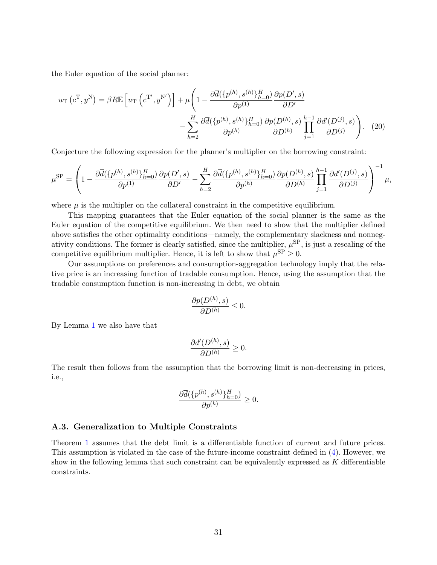the Euler equation of the social planner:

$$
u_{\rm T} (c^{\rm T}, y^{\rm N}) = \beta R \mathbb{E} \left[ u_{\rm T} \left( c^{\rm T'}, y^{\rm N'} \right) \right] + \mu \left( 1 - \frac{\partial \overline{d} (\{p^{(h)}, s^{(h)}\}_{h=0}^H)}{\partial p^{(1)}} \frac{\partial p(D', s)}{\partial D'} - \sum_{h=2}^H \frac{\partial \overline{d} (\{p^{(h)}, s^{(h)}\}_{h=0}^H)}{\partial p^{(h)}} \frac{\partial p(D^{(h)}, s)}{\partial D^{(h)}} \prod_{j=1}^{h-1} \frac{\partial d'(D^{(j)}, s)}{\partial D^{(j)}} \right). \tag{20}
$$

Conjecture the following expression for the planner's multiplier on the borrowing constraint:

$$
\mu^{\rm SP} = \left(1 - \frac{\partial \overline{d}(\{p^{(h)}, s^{(h)}\}_{h=0}^H)}{\partial p^{(1)}} \frac{\partial p(D', s)}{\partial D'} - \sum_{h=2}^H \frac{\partial \overline{d}(\{p^{(h)}, s^{(h)}\}_{h=0}^H)}{\partial p^{(h)}} \frac{\partial p(D^{(h)}, s)}{\partial D^{(h)}} \prod_{j=1}^{h-1} \frac{\partial d'(D^{(j)}, s)}{\partial D^{(j)}} \right)^{-1} \mu,
$$

where  $\mu$  is the multipler on the collateral constraint in the competitive equilibrium.

This mapping guarantees that the Euler equation of the social planner is the same as the Euler equation of the competitive equilibrium. We then need to show that the multiplier defined above satisfies the other optimality conditions—namely, the complementary slackness and nonnegativity conditions. The former is clearly satisfied, since the multiplier,  $\mu^{\rm SP}$ , is just a rescaling of the competitive equilibrium multiplier. Hence, it is left to show that  $\mu^{\text{SP}} \geq 0$ .

Our assumptions on preferences and consumption-aggregation technology imply that the relative price is an increasing function of tradable consumption. Hence, using the assumption that the tradable consumption function is non-increasing in debt, we obtain

$$
\frac{\partial p(D^{(h)}, s)}{\partial D^{(h)}} \le 0.
$$

By Lemma [1](#page-29-0) we also have that

$$
\frac{\partial d'(D^{(h)},s)}{\partial D^{(h)}} \ge 0.
$$

The result then follows from the assumption that the borrowing limit is non-decreasing in prices, i.e.,

$$
\frac{\partial \overline{d}(\{p^{(h)}, s^{(h)}\}_{h=0}^H)}{\partial p^{(h)}} \ge 0.
$$

#### A.3. Generalization to Multiple Constraints

Theorem [1](#page-10-0) assumes that the debt limit is a differentiable function of current and future prices. This assumption is violated in the case of the future-income constraint defined in [\(4\)](#page-7-1). However, we show in the following lemma that such constraint can be equivalently expressed as K differentiable constraints.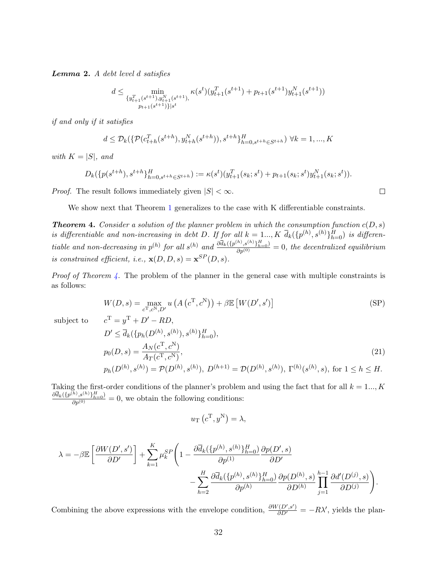Lemma 2. A debt level d satisfies

$$
d \le \min_{\substack{\{y_{t+1}^T(s^{t+1}), y_{t+1}^N(s^{t+1}),\\p_{t+1}(s^{t+1})\}|s^t}} \kappa(s^t)(y_{t+1}^T(s^{t+1}) + p_{t+1}(s^{t+1})y_{t+1}^N(s^{t+1}))
$$

if and only if it satisfies

$$
d \leq \mathcal{D}_k(\{\mathcal{P}(c_{t+h}^T(s^{t+h}), y_{t+h}^N(s^{t+h})), s^{t+h}\}_{h=0, s^{t+h} \in S^{t+h}}^H) \forall k = 1, ..., K
$$

with  $K = |S|$ , and

$$
D_k(\{p(s^{t+h}), s^{t+h}\}_{h=0, s^{t+h}\in S^{t+h}}) := \kappa(s^t)(y_{t+1}^T(s_k; s^t) + p_{t+1}(s_k; s^t)y_{t+1}^N(s_k; s^t)).
$$

*Proof.* The result follows immediately given  $|S| < \infty$ .

We show next that Theorem [1](#page-10-0) generalizes to the case with K differentiable constraints.

<span id="page-32-1"></span>**Theorem 4.** Consider a solution of the planner problem in which the consumption function  $c(D, s)$ is differentiable and non-increasing in debt D. If for all  $k = 1..., K$   $\overline{d}_k({p^{(h)}, s^{(h)}})_{h=0}^H$  is differentiable and non-decreasing in  $p^{(h)}$  for all  $s^{(h)}$  and  $\frac{\partial \overline{d}_k({p^{(h)},s^{(h)}})_{h=0}^H}{\partial p^{(0)}}=0$ , the decentralized equilibrium is constrained efficient, i.e.,  $\mathbf{x}(D, D, s) = \mathbf{x}^{SP}(D, s)$ .

Proof of Theorem [4.](#page-32-1) The problem of the planner in the general case with multiple constraints is as follows:

$$
W(D,s) = \max_{c^{\mathrm{T}}, c^{\mathrm{N}}, D'} u\left(A\left(c^{\mathrm{T}}, c^{\mathrm{N}}\right)\right) + \beta \mathbb{E}\left[W(D', s')\right] \tag{SP}
$$

<span id="page-32-0"></span> $\Box$ 

subject to

$$
c^{T} = y^{T} + D' - RD,
$$
  
\n
$$
D' \le \bar{d}_{k}(\{p_{h}(D^{(h)}, s^{(h)}), s^{(h)}\}_{h=0}^{H}),
$$
  
\n
$$
p_{0}(D, s) = \frac{A_{N}(c^{T}, c^{N})}{A_{T}(c^{T}, c^{N})},
$$
  
\n
$$
p_{h}(D^{(h)}, s^{(h)}) = \mathcal{P}(D^{(h)}, s^{(h)}), D^{(h+1)} = \mathcal{D}(D^{(h)}, s^{(h)}), \Gamma^{(h)}(s^{(h)}, s), \text{ for } 1 \le h \le H.
$$
\n(21)

Taking the first-order conditions of the planner's problem and using the fact that for all  $k = 1..., K$  $\frac{\partial \overline{d}_k({p^{(h)},s^{(h)}})_{h=0}^H}{\partial p^{(0)}} = 0$ , we obtain the following conditions:

$$
u_{\rm T}\left(c^{\rm T},y^{\rm N}\right) = \lambda,
$$

$$
\lambda = -\beta \mathbb{E} \left[ \frac{\partial W(D', s')}{\partial D'} \right] + \sum_{k=1}^{K} \mu_k^{SP} \left( 1 - \frac{\partial \overline{d}_k(\{p^{(h)}, s^{(h)}\}_{h=0}^H)}{\partial p^{(1)}} \frac{\partial p(D', s)}{\partial D'} - \sum_{h=2}^{H} \frac{\partial \overline{d}_k(\{p^{(h)}, s^{(h)}\}_{h=0}^H)}{\partial p^{(h)}} \frac{\partial p(D^{(h)}, s)}{\partial D^{(h)}} \prod_{j=1}^{h-1} \frac{\partial d'(D^{(j)}, s)}{\partial D^{(j)}} \right).
$$

Combining the above expressions with the envelope condition,  $\frac{\partial W(D',s')}{\partial D'} = -RX'$ , yields the plan-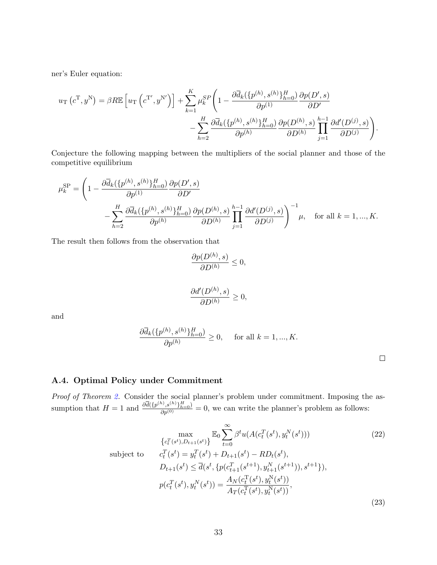ner's Euler equation:

$$
u_{\rm T} (c^{\rm T}, y^{\rm N}) = \beta R \mathbb{E} \left[ u_{\rm T} \left( c^{\rm T'}, y^{\rm N'} \right) \right] + \sum_{k=1}^{K} \mu_k^{SP} \left( 1 - \frac{\partial \overline{d}_k (\{p^{(h)}, s^{(h)}\}_{h=0}^H)}{\partial p^{(1)}} \frac{\partial p(D', s)}{\partial D'} - \sum_{h=2}^{H} \frac{\partial \overline{d}_k (\{p^{(h)}, s^{(h)}\}_{h=0}^H)}{\partial p^{(h)}} \frac{\partial p(D^{(h)}, s)}{\partial D^{(h)}} \prod_{j=1}^{h-1} \frac{\partial d'(D^{(j)}, s)}{\partial D^{(j)}} \right).
$$

Conjecture the following mapping between the multipliers of the social planner and those of the competitive equilibrium

$$
\mu_k^{\rm SP} = \left(1 - \frac{\partial \overline{d}_k(\{p^{(h)}, s^{(h)}\}_{h=0}^H)}{\partial p^{(1)}} \frac{\partial p(D', s)}{\partial D'} \right.\n\left. - \sum_{h=2}^H \frac{\partial \overline{d}_k(\{p^{(h)}, s^{(h)}\}_{h=0}^H)}{\partial p^{(h)}} \frac{\partial p(D^{(h)}, s)}{\partial D^{(h)}} \prod_{j=1}^{h-1} \frac{\partial d'(D^{(j)}, s)}{\partial D^{(j)}} \right)^{-1} \mu, \quad \text{for all } k = 1, ..., K.
$$

The result then follows from the observation that

$$
\frac{\partial p(D^{(h)}, s)}{\partial D^{(h)}} \le 0,
$$

$$
\frac{\partial d'(D^{(h)},s)}{\partial D^{(h)}}\geq 0,
$$

and

$$
\frac{\partial \overline{d}_k(\{p^{(h)}, s^{(h)}\}_{h=0}^H)}{\partial p^{(h)}} \ge 0, \quad \text{ for all } k = 1, ..., K.
$$

### A.4. Optimal Policy under Commitment

Proof of Theorem [2.](#page-22-0) Consider the social planner's problem under commitment. Imposing the assumption that  $H = 1$  and  $\frac{\partial \overline{d}(\{p^{(h)}, s^{(h)}\}_{h=0}^H)}{\partial p^{(0)}} = 0$ , we can write the planner's problem as follows:

$$
\max_{\{c_t^T(s^t), D_{t+1}(s^t)\}} \mathbb{E}_0 \sum_{t=0}^{\infty} \beta^t u(A(c_t^T(s^t), y_t^N(s^t)))
$$
\nsubject to

\n
$$
c_t^T(s^t) = y_t^T(s^t) + D_{t+1}(s^t) - RD_t(s^t),
$$
\n
$$
D_{t+1}(s^t) \leq \overline{d}(s^t, \{p(c_{t+1}^T(s^{t+1}), y_{t+1}^N(s^{t+1})), s^{t+1}\}),
$$
\n
$$
p(c_t^T(s^t), y_t^N(s^t)) = \frac{A_N(c_t^T(s^t), y_t^N(s^t))}{A_T(c_t^T(s^t), y_t^N(s^t))},
$$
\n(23)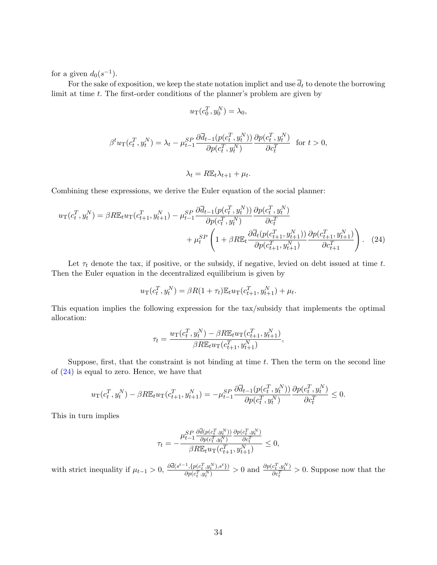for a given  $d_0(s^{-1})$ .

For the sake of exposition, we keep the state notation implict and use  $\overline{d}_t$  to denote the borrowing limit at time  $t$ . The first-order conditions of the planner's problem are given by

$$
u_{\mathcal{T}}(c_0^T, y_0^N) = \lambda_0,
$$

$$
\beta^t u_{\rm T}(c_t^T, y_t^N) = \lambda_t - \mu_{t-1}^{SP} \frac{\partial \overline{d}_{t-1}(p(c_t^T, y_t^N))}{\partial p(c_t^T, y_t^N)} \frac{\partial p(c_t^T, y_t^N)}{\partial c_t^T} \quad \text{for } t > 0,
$$

<span id="page-34-0"></span>
$$
\lambda_t = R \mathbb{E}_t \lambda_{t+1} + \mu_t.
$$

Combining these expressions, we derive the Euler equation of the social planner:

$$
u_{\rm T}(c_t^T, y_t^N) = \beta R \mathbb{E}_t u_{\rm T}(c_{t+1}^T, y_{t+1}^N) - \mu_{t-1}^{SP} \frac{\partial \overline{d}_{t-1}(p(c_t^T, y_t^N))}{\partial p(c_t^T, y_t^N)} \frac{\partial p(c_t^T, y_t^N)}{\partial c_t^T} + \mu_t^{SP} \left(1 + \beta R \mathbb{E}_t \frac{\partial \overline{d}_t(p(c_{t+1}^T, y_{t+1}^N))}{\partial p(c_{t+1}^T, y_{t+1}^N)} \frac{\partial p(c_{t+1}^T, y_{t+1}^N)}{\partial c_{t+1}^T}\right). \tag{24}
$$

Let  $\tau_t$  denote the tax, if positive, or the subsidy, if negative, levied on debt issued at time t. Then the Euler equation in the decentralized equilibrium is given by

$$
u_{\rm T}(c_t^T, y_t^N) = \beta R(1 + \tau_t) \mathbb{E}_t u_{\rm T}(c_{t+1}^T, y_{t+1}^N) + \mu_t.
$$

This equation implies the following expression for the tax/subsidy that implements the optimal allocation:

$$
\tau_t = \frac{u_{\text{T}}(c_t^T, y_t^N) - \beta R \mathbb{E}_t u_{\text{T}}(c_{t+1}^T, y_{t+1}^N)}{\beta R \mathbb{E}_t u_{\text{T}}(c_{t+1}^T, y_{t+1}^N)},
$$

Suppose, first, that the constraint is not binding at time  $t$ . Then the term on the second line of [\(24\)](#page-34-0) is equal to zero. Hence, we have that

$$
u_{\rm T}(c_t^T, y_t^N) - \beta R \mathbb{E}_t u_{\rm T}(c_{t+1}^T, y_{t+1}^N) = -\mu_{t-1}^{SP} \frac{\partial \overline{d}_{t-1}(p(c_t^T, y_t^N))}{\partial p(c_t^T, y_t^N)} \frac{\partial p(c_t^T, y_t^N)}{\partial c_t^T} \le 0.
$$

This in turn implies

$$
\tau_t = -\frac{\mu_{t-1}^{SP} \frac{\partial \overline{d}(p(c_t^T, y_t^N))}{\partial p(c_t^T, y_t^N)} \frac{\partial p(c_t^T, y_t^N)}{\partial c_t^T}}{\beta R \mathbb{E}_t u_{\text{T}}(c_{t+1}^T, y_{t+1}^N)} \le 0,
$$

with strict inequality if  $\mu_{t-1} > 0$ ,  $\frac{\partial \overline{d}(s^{t-1}, \{p(c_t^T, y_t^N), s^t\})}{\partial p(c_t^T, y_t^N)}$  $\frac{\partial p(c_t^T, y_t^N), s^t\}}{\partial p(c_t^T, y_t^N)} > 0$  and  $\frac{\partial p(c_t^T, y_t^N), \theta(c_t^T, y_t^N)\}}{\partial c_t^T}$  $\frac{\partial c_i^T, y_i^T}{\partial c_i^T} > 0$ . Suppose now that the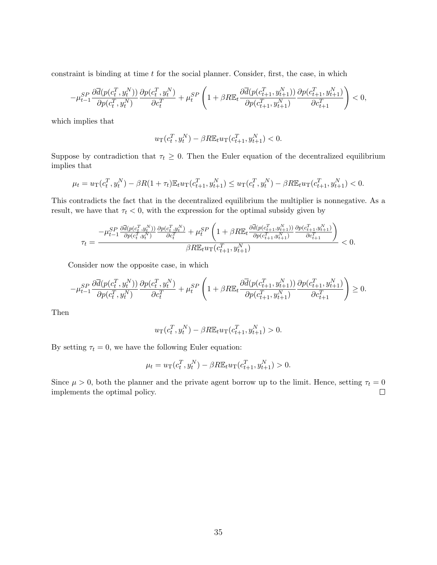constraint is binding at time  $t$  for the social planner. Consider, first, the case, in which

$$
-\mu_{t-1}^{SP} \frac{\partial \overline{d}(p(c_t^T, y_t^N))}{\partial p(c_t^T, y_t^N)} \frac{\partial p(c_t^T, y_t^N)}{\partial c_t^T} + \mu_t^{SP} \left(1 + \beta R \mathbb{E}_t \frac{\partial \overline{d}(p(c_{t+1}^T, y_{t+1}^N))}{\partial p(c_{t+1}^T, y_{t+1}^N)} \frac{\partial p(c_{t+1}^T, y_{t+1}^N)}{\partial c_{t+1}^T}\right) < 0,
$$

which implies that

$$
u_{\mathcal{T}}(c_t^T, y_t^N) - \beta R \mathbb{E}_t u_{\mathcal{T}}(c_{t+1}^T, y_{t+1}^N) < 0.
$$

Suppose by contradiction that  $\tau_t \geq 0$ . Then the Euler equation of the decentralized equilibrium implies that

$$
\mu_t = u_T(c_t^T, y_t^N) - \beta R(1 + \tau_t) \mathbb{E}_t u_T(c_{t+1}^T, y_{t+1}^N) \le u_T(c_t^T, y_t^N) - \beta R \mathbb{E}_t u_T(c_{t+1}^T, y_{t+1}^N) < 0.
$$

This contradicts the fact that in the decentralized equilibrium the multiplier is nonnegative. As a result, we have that  $\tau_t < 0$ , with the expression for the optimal subsidy given by

$$
\tau_t = \frac{-\mu_{t-1}^{SP} \frac{\partial \overline{d}(p(c_t^T, y_t^N))}{\partial p(c_t^T, y_t^N)} \frac{\partial p(c_t^T, y_t^N)}{\partial c_t^T} + \mu_t^{SP} \left(1 + \beta R \mathbb{E}_t \frac{\partial \overline{d}(p(c_{t+1}^T, y_{t+1}^N))}{\partial p(c_{t+1}^T, y_{t+1}^N)} \frac{\partial p(c_{t+1}^T, y_{t+1}^N)}{\partial c_{t+1}^T}\right)}{\beta R \mathbb{E}_t u_{\text{T}}(c_{t+1}^T, y_{t+1}^N)} < 0.
$$

Consider now the opposite case, in which

$$
-\mu_{t-1}^{SP} \frac{\partial \overline{d}(p(c_t^T, y_t^N))}{\partial p(c_t^T, y_t^N)} \frac{\partial p(c_t^T, y_t^N)}{\partial c_t^T} + \mu_t^{SP} \left(1 + \beta R \mathbb{E}_t \frac{\partial \overline{d}(p(c_{t+1}^T, y_{t+1}^N))}{\partial p(c_{t+1}^T, y_{t+1}^N)} \frac{\partial p(c_{t+1}^T, y_{t+1}^N)}{\partial c_{t+1}^T}\right) \ge 0.
$$

Then

$$
u_{\rm T}(c_t^T, y_t^N) - \beta R \mathbb{E}_t u_{\rm T}(c_{t+1}^T, y_{t+1}^N) > 0.
$$

By setting  $\tau_t = 0$ , we have the following Euler equation:

$$
\mu_t = u_T(c_t^T, y_t^N) - \beta R \mathbb{E}_t u_T(c_{t+1}^T, y_{t+1}^N) > 0.
$$

Since  $\mu > 0$ , both the planner and the private agent borrow up to the limit. Hence, setting  $\tau_t = 0$ implements the optimal policy.  $\Box$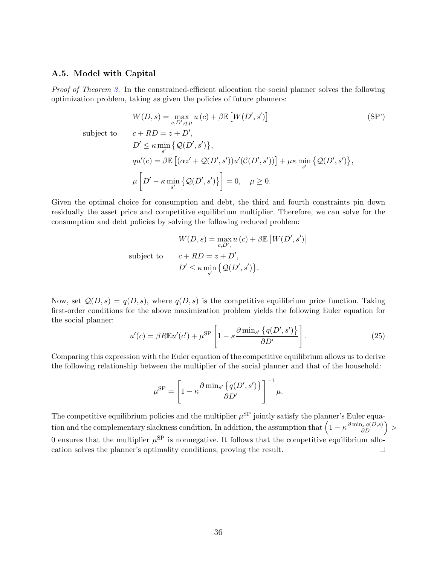#### A.5. Model with Capital

Proof of Theorem [3.](#page-25-0) In the constrained-efficient allocation the social planner solves the following optimization problem, taking as given the policies of future planners:

$$
W(D, s) = \max_{c, D', q, \mu} u(c) + \beta \mathbb{E} [W(D', s')]
$$
  
\nsubject to  
\n
$$
c + RD = z + D',
$$
  
\n
$$
D' \le \kappa \min_{s'} \{Q(D', s')\},
$$
  
\n
$$
qu'(c) = \beta \mathbb{E} [(\alpha z' + Q(D', s'))u'(C(D', s'))] + \mu \kappa \min_{s'} \{Q(D', s')\},
$$
  
\n
$$
\mu \left[D' - \kappa \min_{s'} \{Q(D', s')\}\right] = 0, \quad \mu \ge 0.
$$
\n(SP')

Given the optimal choice for consumption and debt, the third and fourth constraints pin down residually the asset price and competitive equilibrium multiplier. Therefore, we can solve for the consumption and debt policies by solving the following reduced problem:

$$
W(D, s) = \max_{c, D',} u(c) + \beta \mathbb{E} [W(D', s')]
$$
  
subject to 
$$
c + RD = z + D',
$$

$$
D' \le \kappa \min_{s'} \{Q(D', s')\}.
$$

Now, set  $\mathcal{Q}(D, s) = q(D, s)$ , where  $q(D, s)$  is the competitive equilibrium price function. Taking first-order conditions for the above maximization problem yields the following Euler equation for the social planner:

$$
u'(c) = \beta R \mathbb{E} u'(c') + \mu^{\text{SP}} \left[ 1 - \kappa \frac{\partial \min_{s'} \{q(D', s')\}}{\partial D'} \right]. \tag{25}
$$

Comparing this expression with the Euler equation of the competitive equilibrium allows us to derive the following relationship between the multiplier of the social planner and that of the household:

$$
\mu^{\rm SP} = \left[1 - \kappa \frac{\partial \min_{s'} \left\{ q(D', s') \right\}}{\partial D'} \right]^{-1} \mu.
$$

The competitive equilibrium policies and the multiplier  $\mu^{\text{SP}}$  jointly satisfy the planner's Euler equation and the complementary slackness condition. In addition, the assumption that  $\left(1 - \kappa \frac{\partial \min_s q(D,s)}{\partial D}\right)$ 0 ensures that the multiplier  $\mu^{\text{SP}}$  is nonnegative. It follows that the competitive equilibrium allocation solves the planner's optimality conditions, proving the result.  $\Box$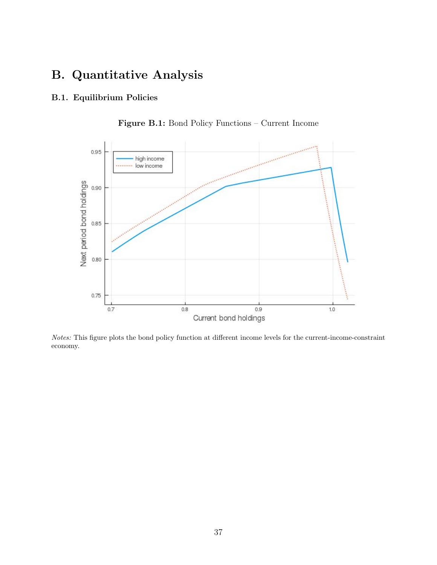# B. Quantitative Analysis

### <span id="page-37-1"></span>B.1. Equilibrium Policies

<span id="page-37-0"></span>

Figure B.1: Bond Policy Functions – Current Income

Notes: This figure plots the bond policy function at different income levels for the current-income-constraint economy.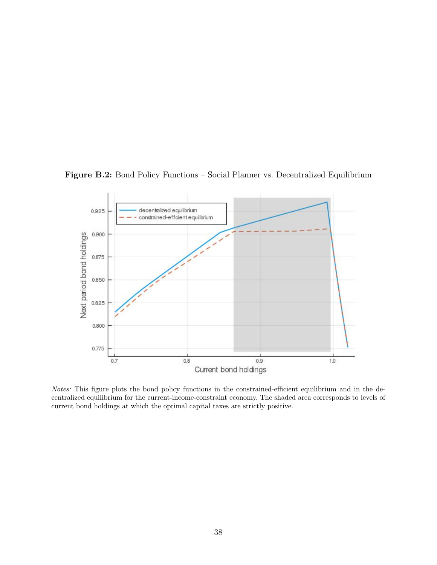<span id="page-38-0"></span>

Figure B.2: Bond Policy Functions – Social Planner vs. Decentralized Equilibrium

Notes: This figure plots the bond policy functions in the constrained-efficient equilibrium and in the decentralized equilibrium for the current-income-constraint economy. The shaded area corresponds to levels of current bond holdings at which the optimal capital taxes are strictly positive.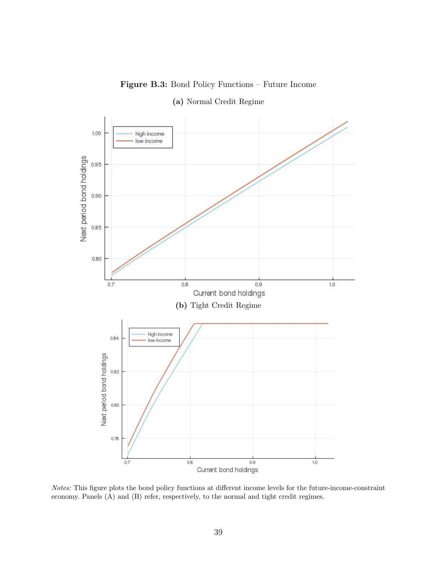<span id="page-39-0"></span>

Figure B.3: Bond Policy Functions – Future Income

Notes: This figure plots the bond policy functions at different income levels for the future-income-constraint economy. Panels (A) and (B) refer, respectively, to the normal and tight credit regimes.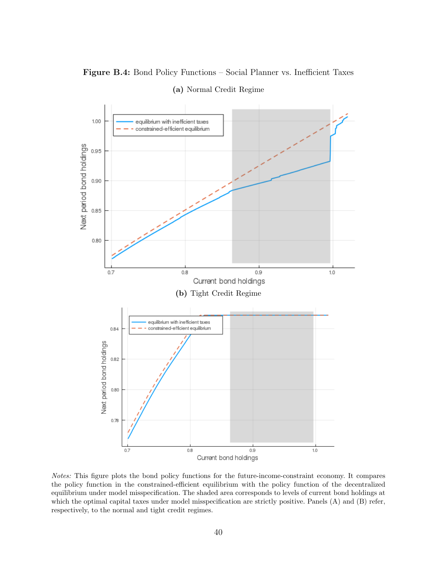<span id="page-40-0"></span>

Figure B.4: Bond Policy Functions – Social Planner vs. Inefficient Taxes (a) Normal Credit Regime

Notes: This figure plots the bond policy functions for the future-income-constraint economy. It compares the policy function in the constrained-efficient equilibrium with the policy function of the decentralized equilibrium under model misspecification. The shaded area corresponds to levels of current bond holdings at which the optimal capital taxes under model misspecification are strictly positive. Panels (A) and (B) refer, respectively, to the normal and tight credit regimes.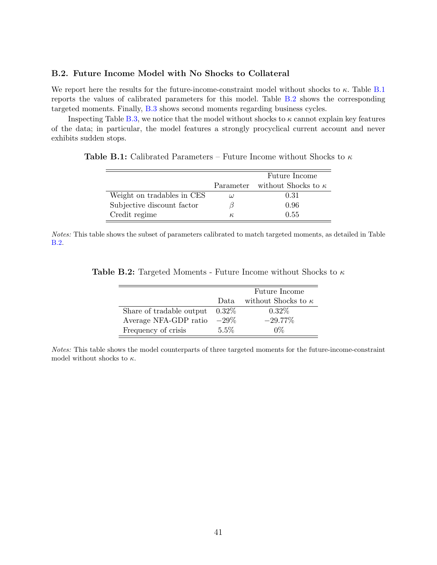### <span id="page-41-0"></span>B.2. Future Income Model with No Shocks to Collateral

We report here the results for the future-income-constraint model without shocks to  $\kappa$ . Table [B.1](#page-41-1) reports the values of calibrated parameters for this model. Table [B.2](#page-41-2) shows the corresponding targeted moments. Finally, [B.3](#page-42-0) shows second moments regarding business cycles.

Inspecting Table [B.3,](#page-42-0) we notice that the model without shocks to  $\kappa$  cannot explain key features of the data; in particular, the model features a strongly procyclical current account and never exhibits sudden stops.

<span id="page-41-1"></span>**Table B.1:** Calibrated Parameters – Future Income without Shocks to  $\kappa$ 

|                            |          | Future Income                        |
|----------------------------|----------|--------------------------------------|
|                            |          | Parameter without Shocks to $\kappa$ |
| Weight on tradables in CES | $\omega$ | 0.31                                 |
| Subjective discount factor |          | 0.96                                 |
| Credit regime              | $\kappa$ | 0.55                                 |

Notes: This table shows the subset of parameters calibrated to match targeted moments, as detailed in Table [B.2.](#page-41-2)

|                          |          | Future Income              |
|--------------------------|----------|----------------------------|
|                          | Data.    | without Shocks to $\kappa$ |
| Share of tradable output | $0.32\%$ | $0.32\%$                   |
| Average NFA-GDP ratio    | $-29\%$  | $-29.77\%$                 |
| Frequency of crisis      | $5.5\%$  | 0%                         |

<span id="page-41-2"></span>**Table B.2:** Targeted Moments - Future Income without Shocks to  $\kappa$ 

Notes: This table shows the model counterparts of three targeted moments for the future-income-constraint model without shocks to  $\kappa$ .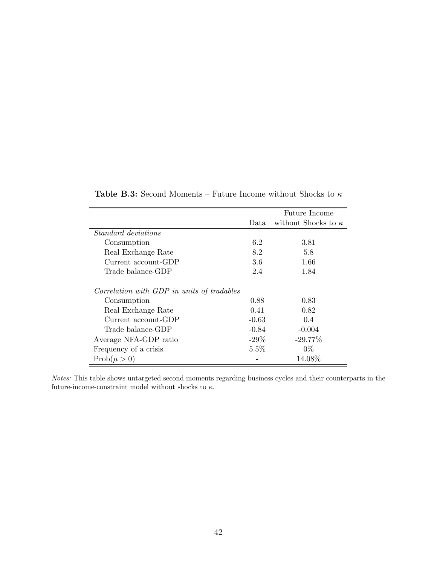<span id="page-42-0"></span>

|                                            |         | Future Income              |
|--------------------------------------------|---------|----------------------------|
|                                            | Data.   | without Shocks to $\kappa$ |
| <i>Standard deviations</i>                 |         |                            |
| Consumption                                | 6.2     | 3.81                       |
| Real Exchange Rate                         | 8.2     | 5.8                        |
| Current account-GDP                        | 3.6     | 1.66                       |
| Trade balance-GDP                          | 2.4     | 1.84                       |
| Correlation with GDP in units of tradables |         |                            |
| Consumption                                | 0.88    | 0.83                       |
| Real Exchange Rate                         | 0.41    | 0.82                       |
| Current account-GDP                        | $-0.63$ | 0.4                        |
| Trade balance-GDP                          | $-0.84$ | $-0.004$                   |
| Average NFA-GDP ratio                      | $-29\%$ | $-29.77\%$                 |
| Frequency of a crisis                      | 5.5%    | $0\%$                      |
| $Prob(\mu > 0)$                            |         | 14.08%                     |

Table B.3: Second Moments – Future Income without Shocks to  $\kappa$ 

Notes: This table shows untargeted second moments regarding business cycles and their counterparts in the future-income-constraint model without shocks to  $\kappa.$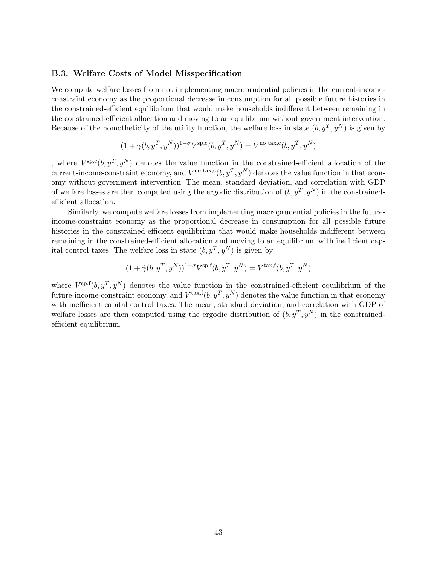#### <span id="page-43-0"></span>B.3. Welfare Costs of Model Misspecification

We compute welfare losses from not implementing macroprudential policies in the current-incomeconstraint economy as the proportional decrease in consumption for all possible future histories in the constrained-efficient equilibrium that would make households indifferent between remaining in the constrained-efficient allocation and moving to an equilibrium without government intervention. Because of the homotheticity of the utility function, the welfare loss in state  $(b, y^T, y^N)$  is given by

$$
(1+\gamma(b,y^T,y^N))^{1-\sigma}V^{\text{sp,c}}(b,y^T,y^N)=V^{\text{no tax,c}}(b,y^T,y^N)
$$

, where  $V^{\text{sp},c}(b, y^T, y^N)$  denotes the value function in the constrained-efficient allocation of the current-income-constraint economy, and  $V^{\text{no tax},c}(b, y^T, y^N)$  denotes the value function in that economy without government intervention. The mean, standard deviation, and correlation with GDP of welfare losses are then computed using the ergodic distribution of  $(b, y^T, y^N)$  in the constrainedefficient allocation.

Similarly, we compute welfare losses from implementing macroprudential policies in the futureincome-constraint economy as the proportional decrease in consumption for all possible future histories in the constrained-efficient equilibrium that would make households indifferent between remaining in the constrained-efficient allocation and moving to an equilibrium with inefficient capital control taxes. The welfare loss in state  $(b, y^T, y^N)$  is given by

$$
(1 + \hat{\gamma}(b, y^T, y^N))^{1-\sigma} V^{\text{sp},f}(b, y^T, y^N) = V^{\text{tax},f}(b, y^T, y^N)
$$

where  $V^{\text{sp},f}(b, y^T, y^N)$  denotes the value function in the constrained-efficient equilibrium of the future-income-constraint economy, and  $V^{\text{tax},f}(b, y^T, y^N)$  denotes the value function in that economy with inefficient capital control taxes. The mean, standard deviation, and correlation with GDP of welfare losses are then computed using the ergodic distribution of  $(b, y^T, y^N)$  in the constrainedefficient equilibrium.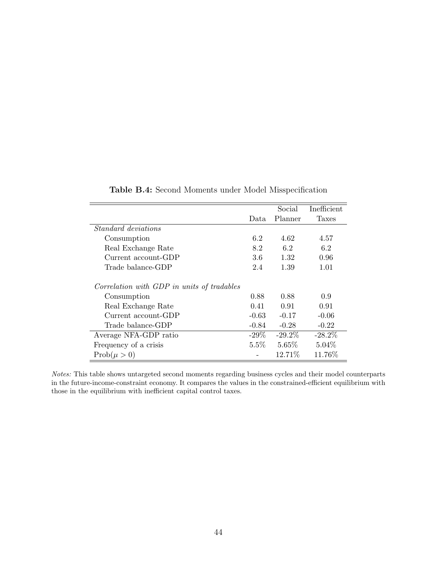<span id="page-44-0"></span>

|                                            |         | Social    | Inefficient  |
|--------------------------------------------|---------|-----------|--------------|
|                                            | Data    | Planner   | <b>Taxes</b> |
| <i>Standard deviations</i>                 |         |           |              |
| Consumption                                | 6.2     | 4.62      | 4.57         |
| Real Exchange Rate                         | 8.2     | 6.2       | 6.2          |
| Current account-GDP                        | 3.6     | 1.32      | 0.96         |
| Trade balance-GDP                          | 2.4     | 1.39      | 1.01         |
| Correlation with GDP in units of tradables |         |           |              |
| Consumption                                | 0.88    | 0.88      | 0.9          |
| Real Exchange Rate                         | 0.41    | 0.91      | 0.91         |
| Current account-GDP                        | $-0.63$ | $-0.17$   | $-0.06$      |
| Trade balance-GDP                          | $-0.84$ | $-0.28$   | $-0.22$      |
| Average NFA-GDP ratio                      | $-29\%$ | $-29.2\%$ | $-28.2\%$    |
| Frequency of a crisis                      | $5.5\%$ | $5.65\%$  | $5.04\%$     |
| $Prob(\mu > 0)$                            |         | 12.71\%   | 11.76%       |

| Table B.4: Second Moments under Model Misspecification |  |  |  |  |
|--------------------------------------------------------|--|--|--|--|
|--------------------------------------------------------|--|--|--|--|

Notes: This table shows untargeted second moments regarding business cycles and their model counterparts in the future-income-constraint economy. It compares the values in the constrained-efficient equilibrium with those in the equilibrium with inefficient capital control taxes.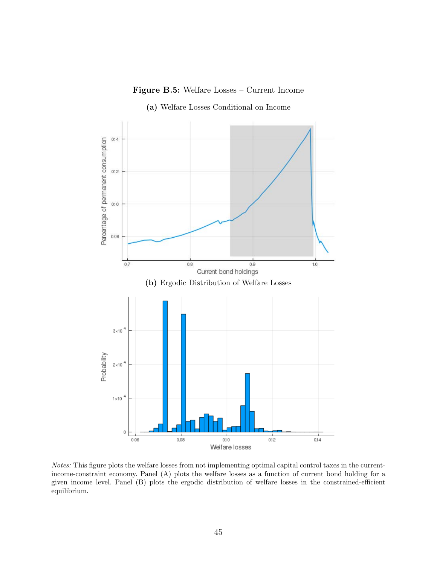



<span id="page-45-0"></span>

Notes: This figure plots the welfare losses from not implementing optimal capital control taxes in the currentincome-constraint economy. Panel (A) plots the welfare losses as a function of current bond holding for a given income level. Panel (B) plots the ergodic distribution of welfare losses in the constrained-efficient equilibrium.